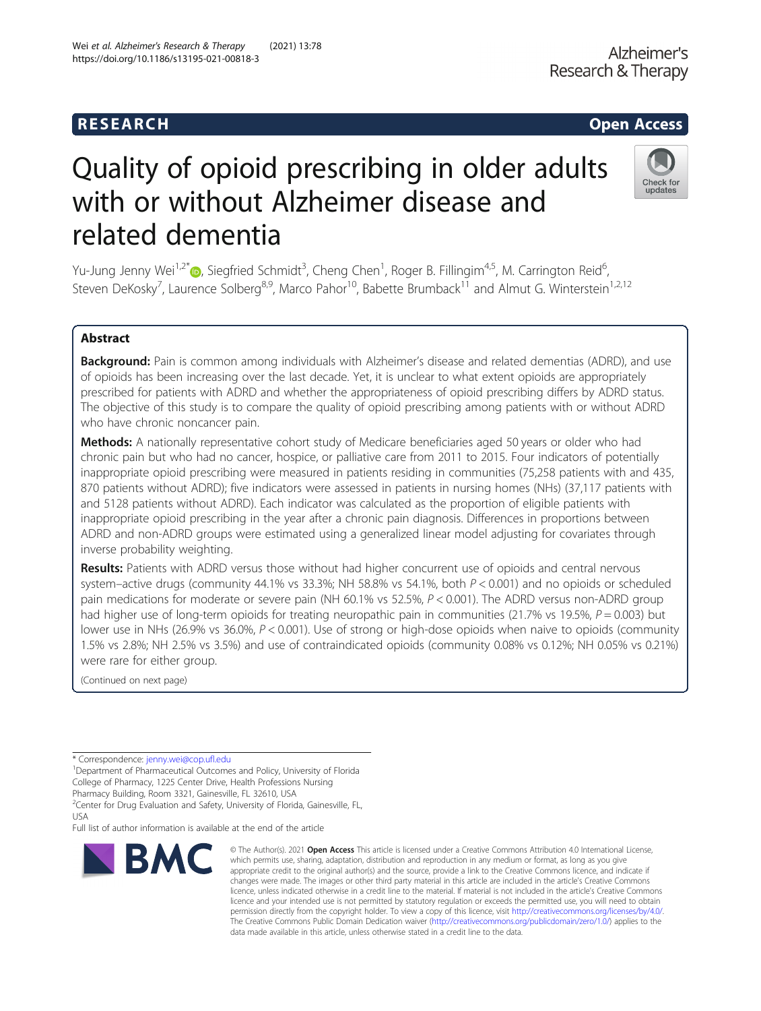# R E S EAR CH Open Access

# Quality of opioid prescribing in older adults with or without Alzheimer disease and related dementia

Yu-Jung Jenny Wei<sup>1[,](http://orcid.org/0000-0001-8861-6907)2\*</sup>®, Siegfried Schmidt<sup>3</sup>, Cheng Chen<sup>1</sup>, Roger B. Fillingim<sup>4,5</sup>, M. Carrington Reid<sup>6</sup> , Steven DeKosky<sup>7</sup>, Laurence Solberg<sup>8,9</sup>, Marco Pahor<sup>10</sup>, Babette Brumback<sup>11</sup> and Almut G. Winterstein<sup>1,2,12</sup>

# Abstract

Background: Pain is common among individuals with Alzheimer's disease and related dementias (ADRD), and use of opioids has been increasing over the last decade. Yet, it is unclear to what extent opioids are appropriately prescribed for patients with ADRD and whether the appropriateness of opioid prescribing differs by ADRD status. The objective of this study is to compare the quality of opioid prescribing among patients with or without ADRD who have chronic noncancer pain.

Methods: A nationally representative cohort study of Medicare beneficiaries aged 50 years or older who had chronic pain but who had no cancer, hospice, or palliative care from 2011 to 2015. Four indicators of potentially inappropriate opioid prescribing were measured in patients residing in communities (75,258 patients with and 435, 870 patients without ADRD); five indicators were assessed in patients in nursing homes (NHs) (37,117 patients with and 5128 patients without ADRD). Each indicator was calculated as the proportion of eligible patients with inappropriate opioid prescribing in the year after a chronic pain diagnosis. Differences in proportions between ADRD and non-ADRD groups were estimated using a generalized linear model adjusting for covariates through inverse probability weighting.

Results: Patients with ADRD versus those without had higher concurrent use of opioids and central nervous system–active drugs (community 44.1% vs 33.3%; NH 58.8% vs 54.1%, both P < 0.001) and no opioids or scheduled pain medications for moderate or severe pain (NH 60.1% vs 52.5%,  $P < 0.001$ ). The ADRD versus non-ADRD group had higher use of long-term opioids for treating neuropathic pain in communities (21.7% vs 19.5%,  $P = 0.003$ ) but lower use in NHs (26.9% vs 36.0%, P < 0.001). Use of strong or high-dose opioids when naive to opioids (community 1.5% vs 2.8%; NH 2.5% vs 3.5%) and use of contraindicated opioids (community 0.08% vs 0.12%; NH 0.05% vs 0.21%) were rare for either group.

(Continued on next page)

<sup>1</sup>Department of Pharmaceutical Outcomes and Policy, University of Florida College of Pharmacy, 1225 Center Drive, Health Professions Nursing

Pharmacy Building, Room 3321, Gainesville, FL 32610, USA

<sup>2</sup> Center for Drug Evaluation and Safety, University of Florida, Gainesville, FL, USA

Full list of author information is available at the end of the article



© The Author(s), 2021 **Open Access** This article is licensed under a Creative Commons Attribution 4.0 International License, which permits use, sharing, adaptation, distribution and reproduction in any medium or format, as long as you give appropriate credit to the original author(s) and the source, provide a link to the Creative Commons licence, and indicate if changes were made. The images or other third party material in this article are included in the article's Creative Commons licence, unless indicated otherwise in a credit line to the material. If material is not included in the article's Creative Commons licence and your intended use is not permitted by statutory regulation or exceeds the permitted use, you will need to obtain permission directly from the copyright holder. To view a copy of this licence, visit [http://creativecommons.org/licenses/by/4.0/.](http://creativecommons.org/licenses/by/4.0/) The Creative Commons Public Domain Dedication waiver [\(http://creativecommons.org/publicdomain/zero/1.0/](http://creativecommons.org/publicdomain/zero/1.0/)) applies to the data made available in this article, unless otherwise stated in a credit line to the data.

Research & Therapy





Alzheimer's

<sup>\*</sup> Correspondence: [jenny.wei@cop.ufl.edu](mailto:jenny.wei@cop.ufl.edu) <sup>1</sup>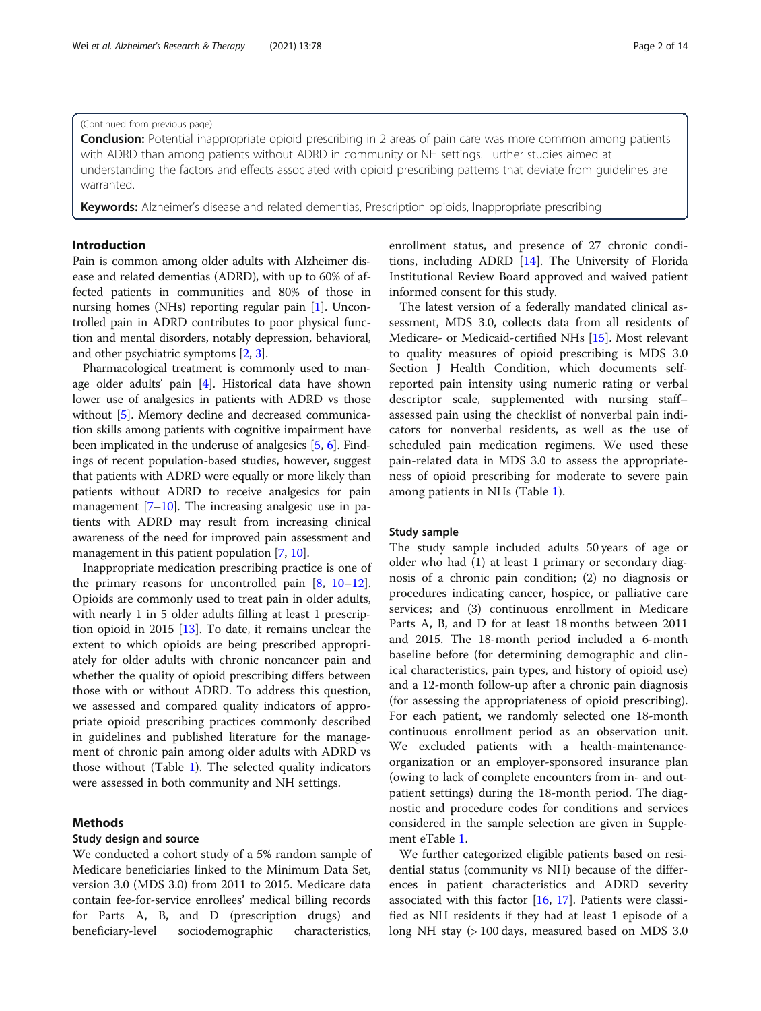## (Continued from previous page)

**Conclusion:** Potential inappropriate opioid prescribing in 2 areas of pain care was more common among patients with ADRD than among patients without ADRD in community or NH settings. Further studies aimed at understanding the factors and effects associated with opioid prescribing patterns that deviate from guidelines are warranted.

Keywords: Alzheimer's disease and related dementias, Prescription opioids, Inappropriate prescribing

## Introduction

Pain is common among older adults with Alzheimer disease and related dementias (ADRD), with up to 60% of affected patients in communities and 80% of those in nursing homes (NHs) reporting regular pain [\[1\]](#page-12-0). Uncontrolled pain in ADRD contributes to poor physical function and mental disorders, notably depression, behavioral, and other psychiatric symptoms [\[2](#page-12-0), [3\]](#page-12-0).

Pharmacological treatment is commonly used to manage older adults' pain [[4](#page-12-0)]. Historical data have shown lower use of analgesics in patients with ADRD vs those without [\[5](#page-12-0)]. Memory decline and decreased communication skills among patients with cognitive impairment have been implicated in the underuse of analgesics [\[5,](#page-12-0) [6\]](#page-12-0). Findings of recent population-based studies, however, suggest that patients with ADRD were equally or more likely than patients without ADRD to receive analgesics for pain management [\[7](#page-12-0)–[10\]](#page-12-0). The increasing analgesic use in patients with ADRD may result from increasing clinical awareness of the need for improved pain assessment and management in this patient population [[7,](#page-12-0) [10](#page-12-0)].

Inappropriate medication prescribing practice is one of the primary reasons for uncontrolled pain [[8](#page-12-0), [10](#page-12-0)–[12](#page-12-0)]. Opioids are commonly used to treat pain in older adults, with nearly 1 in 5 older adults filling at least 1 prescription opioid in 2015 [[13\]](#page-12-0). To date, it remains unclear the extent to which opioids are being prescribed appropriately for older adults with chronic noncancer pain and whether the quality of opioid prescribing differs between those with or without ADRD. To address this question, we assessed and compared quality indicators of appropriate opioid prescribing practices commonly described in guidelines and published literature for the management of chronic pain among older adults with ADRD vs those without (Table [1\)](#page-2-0). The selected quality indicators were assessed in both community and NH settings.

# Methods

# Study design and source

We conducted a cohort study of a 5% random sample of Medicare beneficiaries linked to the Minimum Data Set, version 3.0 (MDS 3.0) from 2011 to 2015. Medicare data contain fee-for-service enrollees' medical billing records for Parts A, B, and D (prescription drugs) and beneficiary-level sociodemographic characteristics,

enrollment status, and presence of 27 chronic conditions, including ADRD [[14\]](#page-12-0). The University of Florida Institutional Review Board approved and waived patient informed consent for this study.

The latest version of a federally mandated clinical assessment, MDS 3.0, collects data from all residents of Medicare- or Medicaid-certified NHs [[15\]](#page-12-0). Most relevant to quality measures of opioid prescribing is MDS 3.0 Section J Health Condition, which documents selfreported pain intensity using numeric rating or verbal descriptor scale, supplemented with nursing staff– assessed pain using the checklist of nonverbal pain indicators for nonverbal residents, as well as the use of scheduled pain medication regimens. We used these pain-related data in MDS 3.0 to assess the appropriateness of opioid prescribing for moderate to severe pain among patients in NHs (Table [1](#page-2-0)).

# Study sample

The study sample included adults 50 years of age or older who had (1) at least 1 primary or secondary diagnosis of a chronic pain condition; (2) no diagnosis or procedures indicating cancer, hospice, or palliative care services; and (3) continuous enrollment in Medicare Parts A, B, and D for at least 18 months between 2011 and 2015. The 18-month period included a 6-month baseline before (for determining demographic and clinical characteristics, pain types, and history of opioid use) and a 12-month follow-up after a chronic pain diagnosis (for assessing the appropriateness of opioid prescribing). For each patient, we randomly selected one 18-month continuous enrollment period as an observation unit. We excluded patients with a health-maintenanceorganization or an employer-sponsored insurance plan (owing to lack of complete encounters from in- and outpatient settings) during the 18-month period. The diagnostic and procedure codes for conditions and services considered in the sample selection are given in Supplement eTable [1](#page-11-0).

We further categorized eligible patients based on residential status (community vs NH) because of the differences in patient characteristics and ADRD severity associated with this factor [\[16,](#page-12-0) [17](#page-12-0)]. Patients were classified as NH residents if they had at least 1 episode of a long NH stay (> 100 days, measured based on MDS 3.0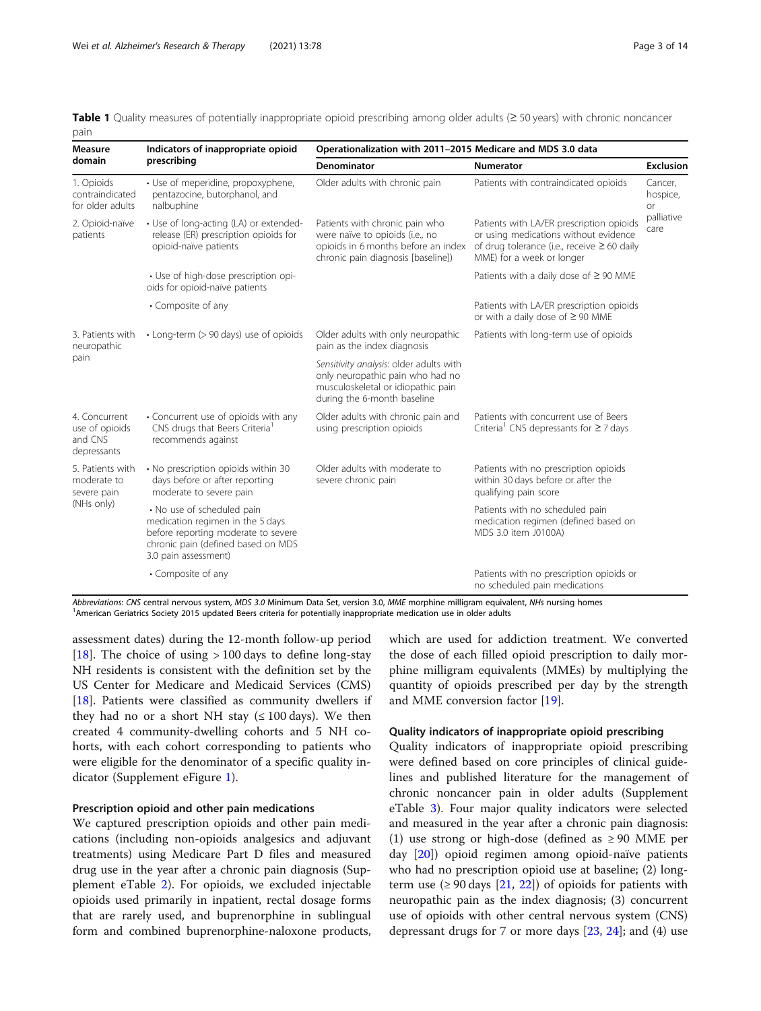<span id="page-2-0"></span>Table 1 Quality measures of potentially inappropriate opioid prescribing among older adults (≥ 50 years) with chronic noncancer pain

| <b>Measure</b>                                            | Indicators of inappropriate opioid                                                                                                                                  | Operationalization with 2011-2015 Medicare and MDS 3.0 data                                                                                      |                                                                                                                                                                    |                                  |
|-----------------------------------------------------------|---------------------------------------------------------------------------------------------------------------------------------------------------------------------|--------------------------------------------------------------------------------------------------------------------------------------------------|--------------------------------------------------------------------------------------------------------------------------------------------------------------------|----------------------------------|
| domain                                                    | prescribing                                                                                                                                                         | <b>Denominator</b>                                                                                                                               | <b>Numerator</b>                                                                                                                                                   | <b>Exclusion</b>                 |
| 1. Opioids<br>contraindicated<br>for older adults         | · Use of meperidine, propoxyphene,<br>pentazocine, butorphanol, and<br>nalbuphine                                                                                   | Older adults with chronic pain                                                                                                                   | Patients with contraindicated opioids                                                                                                                              | Cancer,<br>hospice,<br><b>or</b> |
| 2. Opioid-naïve<br>patients                               | • Use of long-acting (LA) or extended-<br>release (ER) prescription opioids for<br>opioid-naïve patients                                                            | Patients with chronic pain who<br>were naïve to opioids (i.e., no<br>opioids in 6 months before an index<br>chronic pain diagnosis [baseline])   | Patients with LA/ER prescription opioids<br>or using medications without evidence<br>of drug tolerance (i.e., receive $\geq 60$ daily<br>MME) for a week or longer | palliative<br>care               |
|                                                           | • Use of high-dose prescription opi-<br>oids for opioid-naïve patients                                                                                              |                                                                                                                                                  | Patients with a daily dose of $\geq$ 90 MME                                                                                                                        |                                  |
|                                                           | • Composite of any                                                                                                                                                  |                                                                                                                                                  | Patients with LA/ER prescription opioids<br>or with a daily dose of $\geq$ 90 MME                                                                                  |                                  |
| 3. Patients with<br>neuropathic                           | • Long-term (> 90 days) use of opioids                                                                                                                              | Older adults with only neuropathic<br>pain as the index diagnosis                                                                                | Patients with long-term use of opioids                                                                                                                             |                                  |
| pain                                                      |                                                                                                                                                                     | Sensitivity analysis: older adults with<br>only neuropathic pain who had no<br>musculoskeletal or idiopathic pain<br>during the 6-month baseline |                                                                                                                                                                    |                                  |
| 4. Concurrent<br>use of opioids<br>and CNS<br>depressants | • Concurrent use of opioids with any<br>CNS drugs that Beers Criteria <sup>1</sup><br>recommends against                                                            | Older adults with chronic pain and<br>using prescription opioids                                                                                 | Patients with concurrent use of Beers<br>Criteria <sup>1</sup> CNS depressants for $\geq$ 7 days                                                                   |                                  |
| 5. Patients with<br>moderate to<br>severe pain            | . No prescription opioids within 30<br>days before or after reporting<br>moderate to severe pain                                                                    | Older adults with moderate to<br>severe chronic pain                                                                                             | Patients with no prescription opioids<br>within 30 days before or after the<br>qualifying pain score                                                               |                                  |
| (NHs only)                                                | • No use of scheduled pain<br>medication regimen in the 5 days<br>before reporting moderate to severe<br>chronic pain (defined based on MDS<br>3.0 pain assessment) |                                                                                                                                                  | Patients with no scheduled pain<br>medication regimen (defined based on<br>MDS 3.0 item J0100A)                                                                    |                                  |
|                                                           | • Composite of any                                                                                                                                                  |                                                                                                                                                  | Patients with no prescription opioids or<br>no scheduled pain medications                                                                                          |                                  |

Abbreviations: CNS central nervous system, MDS 3.0 Minimum Data Set, version 3.0, MME morphine milligram equivalent, NHs nursing homes <sup>1</sup> American Geriatrics Society 2015 updated Beers criteria for potentially inappropriate medication use in older adults

assessment dates) during the 12-month follow-up period [[18\]](#page-12-0). The choice of using > 100 days to define long-stay NH residents is consistent with the definition set by the US Center for Medicare and Medicaid Services (CMS) [[18\]](#page-12-0). Patients were classified as community dwellers if they had no or a short NH stay  $( \leq 100 \text{ days})$ . We then created 4 community-dwelling cohorts and 5 NH cohorts, with each cohort corresponding to patients who were eligible for the denominator of a specific quality indicator (Supplement eFigure [1](#page-11-0)).

# Prescription opioid and other pain medications

We captured prescription opioids and other pain medications (including non-opioids analgesics and adjuvant treatments) using Medicare Part D files and measured drug use in the year after a chronic pain diagnosis (Supplement eTable [2](#page-11-0)). For opioids, we excluded injectable opioids used primarily in inpatient, rectal dosage forms that are rarely used, and buprenorphine in sublingual form and combined buprenorphine-naloxone products, which are used for addiction treatment. We converted the dose of each filled opioid prescription to daily morphine milligram equivalents (MMEs) by multiplying the quantity of opioids prescribed per day by the strength and MME conversion factor [\[19](#page-12-0)].

# Quality indicators of inappropriate opioid prescribing

Quality indicators of inappropriate opioid prescribing were defined based on core principles of clinical guidelines and published literature for the management of chronic noncancer pain in older adults (Supplement eTable [3\)](#page-11-0). Four major quality indicators were selected and measured in the year after a chronic pain diagnosis: (1) use strong or high-dose (defined as  $\geq$  90 MME per day [\[20\]](#page-12-0)) opioid regimen among opioid-naïve patients who had no prescription opioid use at baseline; (2) longterm use  $(≥ 90 \text{ days } [21, 22])$  $(≥ 90 \text{ days } [21, 22])$  $(≥ 90 \text{ days } [21, 22])$  $(≥ 90 \text{ days } [21, 22])$  $(≥ 90 \text{ days } [21, 22])$  of opioids for patients with neuropathic pain as the index diagnosis; (3) concurrent use of opioids with other central nervous system (CNS) depressant drugs for 7 or more days [[23](#page-12-0), [24](#page-12-0)]; and (4) use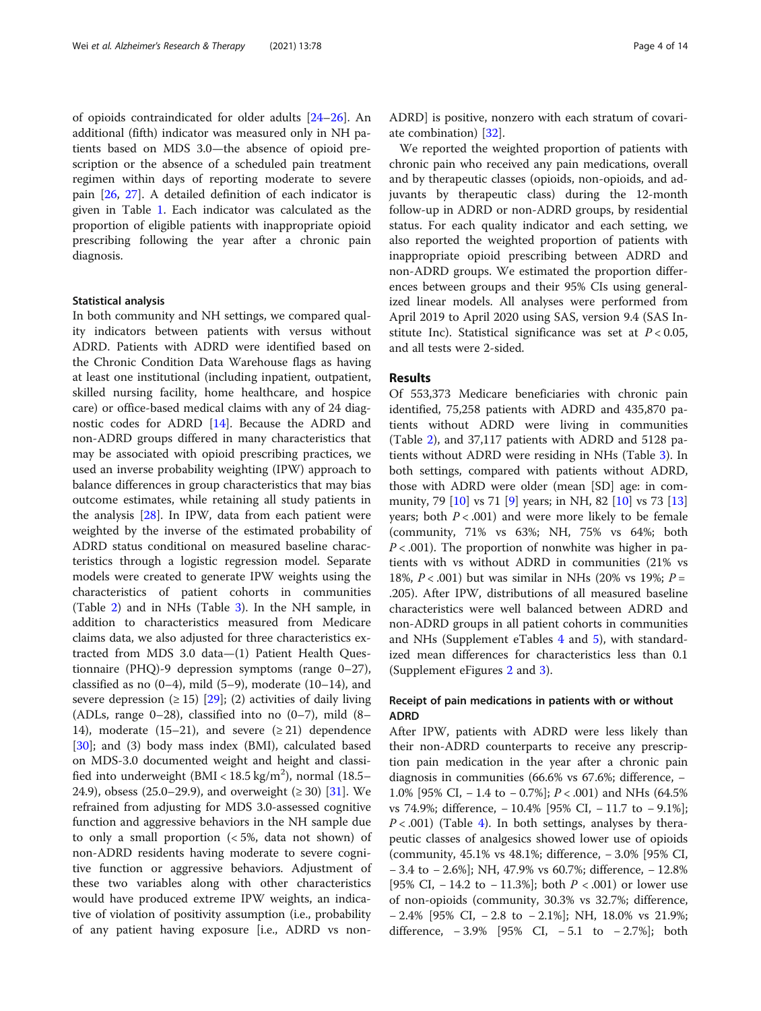of opioids contraindicated for older adults [\[24](#page-12-0)–[26\]](#page-12-0). An additional (fifth) indicator was measured only in NH patients based on MDS 3.0—the absence of opioid prescription or the absence of a scheduled pain treatment regimen within days of reporting moderate to severe pain [[26,](#page-12-0) [27\]](#page-12-0). A detailed definition of each indicator is given in Table [1.](#page-2-0) Each indicator was calculated as the proportion of eligible patients with inappropriate opioid prescribing following the year after a chronic pain diagnosis.

# Statistical analysis

In both community and NH settings, we compared quality indicators between patients with versus without ADRD. Patients with ADRD were identified based on the Chronic Condition Data Warehouse flags as having at least one institutional (including inpatient, outpatient, skilled nursing facility, home healthcare, and hospice care) or office-based medical claims with any of 24 diagnostic codes for ADRD [[14\]](#page-12-0). Because the ADRD and non-ADRD groups differed in many characteristics that may be associated with opioid prescribing practices, we used an inverse probability weighting (IPW) approach to balance differences in group characteristics that may bias outcome estimates, while retaining all study patients in the analysis [[28](#page-12-0)]. In IPW, data from each patient were weighted by the inverse of the estimated probability of ADRD status conditional on measured baseline characteristics through a logistic regression model. Separate models were created to generate IPW weights using the characteristics of patient cohorts in communities (Table [2\)](#page-4-0) and in NHs (Table [3](#page-6-0)). In the NH sample, in addition to characteristics measured from Medicare claims data, we also adjusted for three characteristics extracted from MDS 3.0 data—(1) Patient Health Questionnaire (PHQ)-9 depression symptoms (range 0–27), classified as no  $(0-4)$ , mild  $(5-9)$ , moderate  $(10-14)$ , and severe depression  $(\geq 15)$  [\[29](#page-12-0)]; (2) activities of daily living (ADLs, range 0–28), classified into no (0–7), mild (8– 14), moderate (15–21), and severe  $(221)$  dependence [[30\]](#page-12-0); and (3) body mass index (BMI), calculated based on MDS-3.0 documented weight and height and classified into underweight (BMI <  $18.5 \text{ kg/m}^2$ ), normal (18.5– 24.9), obsess (25.0–29.9), and overweight ( $\geq$  30) [[31\]](#page-12-0). We refrained from adjusting for MDS 3.0-assessed cognitive function and aggressive behaviors in the NH sample due to only a small proportion  $\left( < 5\% \right)$ , data not shown) of non-ADRD residents having moderate to severe cognitive function or aggressive behaviors. Adjustment of these two variables along with other characteristics would have produced extreme IPW weights, an indicative of violation of positivity assumption (i.e., probability of any patient having exposure [i.e., ADRD vs nonADRD] is positive, nonzero with each stratum of covariate combination) [\[32](#page-12-0)].

We reported the weighted proportion of patients with chronic pain who received any pain medications, overall and by therapeutic classes (opioids, non-opioids, and adjuvants by therapeutic class) during the 12-month follow-up in ADRD or non-ADRD groups, by residential status. For each quality indicator and each setting, we also reported the weighted proportion of patients with inappropriate opioid prescribing between ADRD and non-ADRD groups. We estimated the proportion differences between groups and their 95% CIs using generalized linear models. All analyses were performed from April 2019 to April 2020 using SAS, version 9.4 (SAS Institute Inc). Statistical significance was set at  $P < 0.05$ , and all tests were 2-sided.

# Results

Of 553,373 Medicare beneficiaries with chronic pain identified, 75,258 patients with ADRD and 435,870 patients without ADRD were living in communities (Table [2](#page-4-0)), and 37,117 patients with ADRD and 5128 patients without ADRD were residing in NHs (Table [3](#page-6-0)). In both settings, compared with patients without ADRD, those with ADRD were older (mean [SD] age: in community, 79 [[10\]](#page-12-0) vs 71 [\[9](#page-12-0)] years; in NH, 82 [\[10](#page-12-0)] vs 73 [[13](#page-12-0)] years; both  $P < .001$ ) and were more likely to be female (community, 71% vs 63%; NH, 75% vs 64%; both  $P < .001$ ). The proportion of nonwhite was higher in patients with vs without ADRD in communities (21% vs 18%,  $P < .001$ ) but was similar in NHs (20% vs 19%;  $P =$ .205). After IPW, distributions of all measured baseline characteristics were well balanced between ADRD and non-ADRD groups in all patient cohorts in communities and NHs (Supplement eTables  $4$  and  $5$ ), with standardized mean differences for characteristics less than 0.1 (Supplement eFigures [2](#page-11-0) and [3](#page-11-0)).

# Receipt of pain medications in patients with or without ADRD

After IPW, patients with ADRD were less likely than their non-ADRD counterparts to receive any prescription pain medication in the year after a chronic pain diagnosis in communities (66.6% vs 67.6%; difference, − 1.0% [95% CI, − 1.4 to − 0.7%]; P < .001) and NHs (64.5% vs 74.9%; difference, − 10.4% [95% CI, − 11.7 to − 9.1%];  $P < .001$ ) (Table [4](#page-8-0)). In both settings, analyses by therapeutic classes of analgesics showed lower use of opioids (community, 45.1% vs 48.1%; difference, − 3.0% [95% CI, − 3.4 to − 2.6%]; NH, 47.9% vs 60.7%; difference, − 12.8% [95% CI,  $-14.2$  to  $-11.3%$ ]; both  $P < .001$  or lower use of non-opioids (community, 30.3% vs 32.7%; difference, − 2.4% [95% CI, − 2.8 to − 2.1%]; NH, 18.0% vs 21.9%; difference,  $-3.9%$  [95% CI,  $-5.1$  to  $-2.7%$ ]; both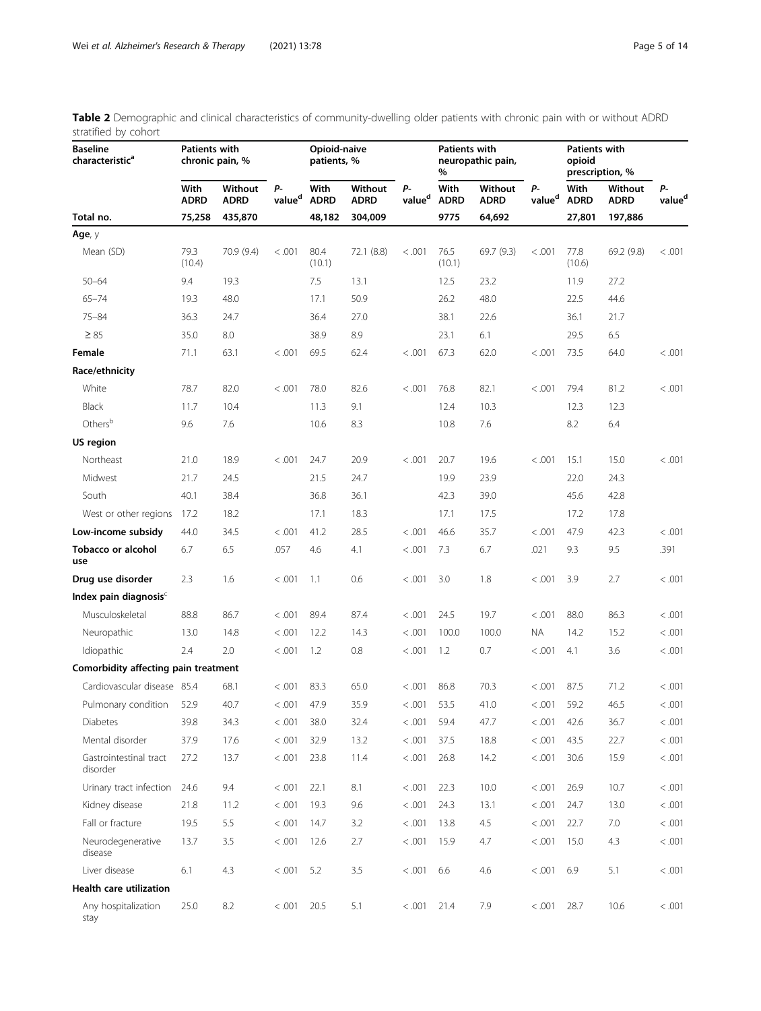| <b>Baseline</b><br>characteristic <sup>a</sup> | <b>Patients with</b> | chronic pain, %        |                          | Opioid-naive<br>patients, % |                        |                          | Patients with<br>%  | neuropathic pain,      |                          | <b>Patients with</b><br>opioid | prescription, %        |                          |
|------------------------------------------------|----------------------|------------------------|--------------------------|-----------------------------|------------------------|--------------------------|---------------------|------------------------|--------------------------|--------------------------------|------------------------|--------------------------|
|                                                | With<br><b>ADRD</b>  | Without<br><b>ADRD</b> | р.<br>value <sup>d</sup> | With<br><b>ADRD</b>         | Without<br><b>ADRD</b> | Р-<br>value <sup>d</sup> | With<br><b>ADRD</b> | Without<br><b>ADRD</b> | Р-<br>value <sup>d</sup> | With<br><b>ADRD</b>            | Without<br><b>ADRD</b> | Р-<br>value <sup>d</sup> |
| Total no.                                      | 75,258               | 435,870                |                          | 48,182                      | 304,009                |                          | 9775                | 64,692                 |                          | 27,801                         | 197,886                |                          |
| Age, y                                         |                      |                        |                          |                             |                        |                          |                     |                        |                          |                                |                        |                          |
| Mean (SD)                                      | 79.3<br>(10.4)       | 70.9 (9.4)             | < .001                   | 80.4<br>(10.1)              | 72.1 (8.8)             | < 0.001                  | 76.5<br>(10.1)      | 69.7 (9.3)             | < 0.001                  | 77.8<br>(10.6)                 | 69.2 (9.8)             | < 0.001                  |
| $50 - 64$                                      | 9.4                  | 19.3                   |                          | 7.5                         | 13.1                   |                          | 12.5                | 23.2                   |                          | 11.9                           | 27.2                   |                          |
| $65 - 74$                                      | 19.3                 | 48.0                   |                          | 17.1                        | 50.9                   |                          | 26.2                | 48.0                   |                          | 22.5                           | 44.6                   |                          |
| $75 - 84$                                      | 36.3                 | 24.7                   |                          | 36.4                        | 27.0                   |                          | 38.1                | 22.6                   |                          | 36.1                           | 21.7                   |                          |
| $\geq 85$                                      | 35.0                 | 8.0                    |                          | 38.9                        | 8.9                    |                          | 23.1                | 6.1                    |                          | 29.5                           | 6.5                    |                          |
| Female                                         | 71.1                 | 63.1                   | < 0.001                  | 69.5                        | 62.4                   | < 0.001                  | 67.3                | 62.0                   | < 0.001                  | 73.5                           | 64.0                   | < 0.001                  |
| Race/ethnicity                                 |                      |                        |                          |                             |                        |                          |                     |                        |                          |                                |                        |                          |
| White                                          | 78.7                 | 82.0                   | < .001                   | 78.0                        | 82.6                   | < 0.001                  | 76.8                | 82.1                   | < 0.001                  | 79.4                           | 81.2                   | < 0.001                  |
| <b>Black</b>                                   | 11.7                 | 10.4                   |                          | 11.3                        | 9.1                    |                          | 12.4                | 10.3                   |                          | 12.3                           | 12.3                   |                          |
| Othersb                                        | 9.6                  | 7.6                    |                          | 10.6                        | 8.3                    |                          | 10.8                | 7.6                    |                          | 8.2                            | 6.4                    |                          |
| US region                                      |                      |                        |                          |                             |                        |                          |                     |                        |                          |                                |                        |                          |
| Northeast                                      | 21.0                 | 18.9                   | < 0.001                  | 24.7                        | 20.9                   | < 0.001                  | 20.7                | 19.6                   | < 0.001                  | 15.1                           | 15.0                   | < 0.001                  |
| Midwest                                        | 21.7                 | 24.5                   |                          | 21.5                        | 24.7                   |                          | 19.9                | 23.9                   |                          | 22.0                           | 24.3                   |                          |
| South                                          | 40.1                 | 38.4                   |                          | 36.8                        | 36.1                   |                          | 42.3                | 39.0                   |                          | 45.6                           | 42.8                   |                          |
| West or other regions                          | 17.2                 | 18.2                   |                          | 17.1                        | 18.3                   |                          | 17.1                | 17.5                   |                          | 17.2                           | 17.8                   |                          |
| Low-income subsidy                             | 44.0                 | 34.5                   | < 0.001                  | 41.2                        | 28.5                   | < 0.001                  | 46.6                | 35.7                   | < 0.001                  | 47.9                           | 42.3                   | < 0.001                  |
| <b>Tobacco or alcohol</b><br>use               | 6.7                  | 6.5                    | .057                     | 4.6                         | 4.1                    | < 0.001                  | 7.3                 | 6.7                    | .021                     | 9.3                            | 9.5                    | .391                     |
| Drug use disorder                              | 2.3                  | 1.6                    | < 0.001                  | 1.1                         | 0.6                    | < 0.001                  | 3.0                 | 1.8                    | < 0.001                  | 3.9                            | 2.7                    | < 0.001                  |
| Index pain diagnosis <sup>c</sup>              |                      |                        |                          |                             |                        |                          |                     |                        |                          |                                |                        |                          |
| Musculoskeletal                                | 88.8                 | 86.7                   | < 0.001                  | 89.4                        | 87.4                   | < 0.001                  | 24.5                | 19.7                   | < 0.001                  | 88.0                           | 86.3                   | < 0.001                  |
| Neuropathic                                    | 13.0                 | 14.8                   | < 0.001                  | 12.2                        | 14.3                   | < 0.001                  | 100.0               | 100.0                  | ΝA                       | 14.2                           | 15.2                   | < 0.001                  |
| Idiopathic                                     | 2.4                  | 2.0                    | < .001                   | 1.2                         | 0.8                    | < 0.001                  | 1.2                 | 0.7                    | < .001                   | 4.1                            | 3.6                    | < 0.001                  |
| Comorbidity affecting pain treatment           |                      |                        |                          |                             |                        |                          |                     |                        |                          |                                |                        |                          |
| Cardiovascular disease 85.4                    |                      | 68.1                   | < 0.001                  | 83.3                        | 65.0                   | < 0.001                  | 86.8                | 70.3                   | < 0.001                  | 87.5                           | 71.2                   | < 0.001                  |
| Pulmonary condition                            | 52.9                 | 40.7                   | < 0.001                  | 47.9                        | 35.9                   | < 0.001                  | 53.5                | 41.0                   | < 0.001                  | 59.2                           | 46.5                   | < 0.001                  |
| Diabetes                                       | 39.8                 | 34.3                   | < 0.001                  | 38.0                        | 32.4                   | < 0.001                  | 59.4                | 47.7                   | < 0.001                  | 42.6                           | 36.7                   | < 0.001                  |
| Mental disorder                                | 37.9                 | 17.6                   | < 0.001                  | 32.9                        | 13.2                   | < 0.001                  | 37.5                | 18.8                   | < .001                   | 43.5                           | 22.7                   | < 0.001                  |
| Gastrointestinal tract<br>disorder             | 27.2                 | 13.7                   | < .001                   | 23.8                        | 11.4                   | < 0.001                  | 26.8                | 14.2                   | < 0.001                  | 30.6                           | 15.9                   | < 0.001                  |
| Urinary tract infection                        | 24.6                 | 9.4                    | < .001                   | 22.1                        | 8.1                    | < 0.001                  | 22.3                | 10.0                   | < 0.001                  | 26.9                           | 10.7                   | < 0.001                  |
| Kidney disease                                 | 21.8                 | 11.2                   | < .001                   | 19.3                        | 9.6                    | < 0.001                  | 24.3                | 13.1                   | < .001                   | 24.7                           | 13.0                   | < 0.001                  |
| Fall or fracture                               | 19.5                 | 5.5                    | < 0.001                  | 14.7                        | 3.2                    | < 0.001                  | 13.8                | 4.5                    | < 0.001                  | 22.7                           | 7.0                    | < 0.001                  |
| Neurodegenerative<br>disease                   | 13.7                 | 3.5                    | < .001                   | 12.6                        | 2.7                    | < 0.001                  | 15.9                | 4.7                    | < .001                   | 15.0                           | 4.3                    | < 0.001                  |
| Liver disease                                  | 6.1                  | 4.3                    | < 0.001                  | 5.2                         | 3.5                    | < 0.001                  | 6.6                 | 4.6                    | < 0.001                  | 6.9                            | 5.1                    | < 0.001                  |
| <b>Health care utilization</b>                 |                      |                        |                          |                             |                        |                          |                     |                        |                          |                                |                        |                          |
| Any hospitalization<br>stay                    | 25.0                 | 8.2                    | < 0.001                  | 20.5                        | 5.1                    | < 0.001                  | 21.4                | 7.9                    | < 0.001                  | 28.7                           | 10.6                   | < 0.001                  |

<span id="page-4-0"></span>Table 2 Demographic and clinical characteristics of community-dwelling older patients with chronic pain with or without ADRD stratified by cohort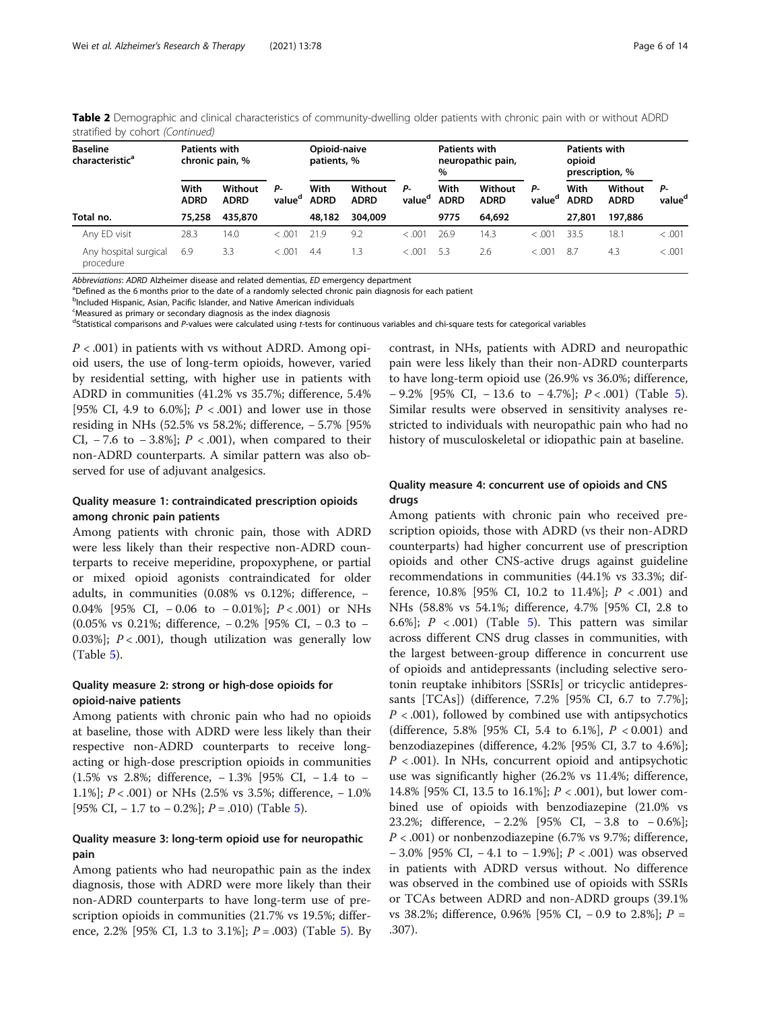| <b>Baseline</b><br>characteristic <sup>a</sup> | <b>Patients with</b> | chronic pain, %        |                          | Opioid-naive<br>patients, % |                        |                          | <b>Patients with</b> | neuropathic pain,      |                          | Patients with<br>opioid |                        |                          |
|------------------------------------------------|----------------------|------------------------|--------------------------|-----------------------------|------------------------|--------------------------|----------------------|------------------------|--------------------------|-------------------------|------------------------|--------------------------|
|                                                |                      |                        |                          |                             |                        |                          | $\%$                 |                        |                          | prescription, %         |                        |                          |
|                                                | With<br><b>ADRD</b>  | Without<br><b>ADRD</b> | Р-<br>value <sup>d</sup> | With<br><b>ADRD</b>         | Without<br><b>ADRD</b> | Р-<br>value <sup>d</sup> | With<br><b>ADRD</b>  | Without<br><b>ADRD</b> | Р-<br>value <sup>d</sup> | With<br><b>ADRD</b>     | Without<br><b>ADRD</b> | Р-<br>value <sup>d</sup> |
| Total no.                                      | 75,258               | 435,870                |                          | 48,182                      | 304,009                |                          | 9775                 | 64,692                 |                          | 27,801                  | 197,886                |                          |
| Any ED visit                                   | 28.3                 | 14.0                   | < .001                   | 21.9                        | 9.2                    | < 0.001                  | 26.9                 | 14.3                   | < 0.001                  | 33.5                    | 18.1                   | < 0.001                  |
| Any hospital surgical<br>procedure             | 6.9                  | 3.3                    | < .001                   | 4.4                         | 1.3                    | < 0.001                  | 5.3                  | 2.6                    | < .001                   | 8.7                     | 4.3                    | < 0.001                  |

Table 2 Demographic and clinical characteristics of community-dwelling older patients with chronic pain with or without ADRD stratified by cohort (Continued)

Abbreviations: ADRD Alzheimer disease and related dementias, ED emergency department

<sup>a</sup>Defined as the 6 months prior to the date of a randomly selected chronic pain diagnosis for each patient

<sup>b</sup>Included Hispanic, Asian, Pacific Islander, and Native American individuals

<sup>c</sup>Measured as primary or secondary diagnosis as the index diagnosis

dStatistical comparisons and P-values were calculated using t-tests for continuous variables and chi-square tests for categorical variables

 $P < .001$ ) in patients with vs without ADRD. Among opioid users, the use of long-term opioids, however, varied by residential setting, with higher use in patients with ADRD in communities (41.2% vs 35.7%; difference, 5.4% [95% CI, 4.9 to 6.0%];  $P < .001$  and lower use in those residing in NHs (52.5% vs 58.2%; difference, − 5.7% [95% CI,  $-7.6$  to  $-3.8\%$ ;  $P < .001$ ), when compared to their non-ADRD counterparts. A similar pattern was also observed for use of adjuvant analgesics.

# Quality measure 1: contraindicated prescription opioids among chronic pain patients

Among patients with chronic pain, those with ADRD were less likely than their respective non-ADRD counterparts to receive meperidine, propoxyphene, or partial or mixed opioid agonists contraindicated for older adults, in communities (0.08% vs 0.12%; difference, − 0.04% [95% CI, − 0.06 to − 0.01%]; P < .001) or NHs (0.05% vs 0.21%; difference, − 0.2% [95% CI, − 0.3 to − 0.03%];  $P < .001$ ), though utilization was generally low (Table [5\)](#page-9-0).

# Quality measure 2: strong or high-dose opioids for opioid-naive patients

Among patients with chronic pain who had no opioids at baseline, those with ADRD were less likely than their respective non-ADRD counterparts to receive longacting or high-dose prescription opioids in communities (1.5% vs 2.8%; difference, − 1.3% [95% CI, − 1.4 to − 1.1%]; P < .001) or NHs (2.5% vs 3.5%; difference, − 1.0% [9[5](#page-9-0)% CI,  $-1.7$  to  $-0.2\%$ ];  $P = .010$ ) (Table 5).

# Quality measure 3: long-term opioid use for neuropathic pain

Among patients who had neuropathic pain as the index diagnosis, those with ADRD were more likely than their non-ADRD counterparts to have long-term use of prescription opioids in communities (21.7% vs 19.5%; differ-ence, 2.2% [9[5](#page-9-0)% CI, 1.3 to 3.1%];  $P = .003$ ) (Table 5). By contrast, in NHs, patients with ADRD and neuropathic pain were less likely than their non-ADRD counterparts to have long-term opioid use (26.9% vs 36.0%; difference,  $-9.2\%$  [9[5](#page-9-0)% CI,  $-13.6$  to  $-4.7\%$ ];  $P < .001$ ) (Table 5). Similar results were observed in sensitivity analyses restricted to individuals with neuropathic pain who had no history of musculoskeletal or idiopathic pain at baseline.

# Quality measure 4: concurrent use of opioids and CNS drugs

Among patients with chronic pain who received prescription opioids, those with ADRD (vs their non-ADRD counterparts) had higher concurrent use of prescription opioids and other CNS-active drugs against guideline recommendations in communities (44.1% vs 33.3%; difference,  $10.8\%$  [95% CI, 10.2 to 11.4%];  $P < .001$  and NHs (58.8% vs 54.1%; difference, 4.7% [95% CI, 2.8 to 6.6%];  $P < .001$  (Table [5\)](#page-9-0). This pattern was similar across different CNS drug classes in communities, with the largest between-group difference in concurrent use of opioids and antidepressants (including selective serotonin reuptake inhibitors [SSRIs] or tricyclic antidepressants [TCAs]) (difference, 7.2% [95% CI, 6.7 to 7.7%];  $P < .001$ ), followed by combined use with antipsychotics (difference, 5.8% [95% CI, 5.4 to 6.1%],  $P < 0.001$ ) and benzodiazepines (difference, 4.2% [95% CI, 3.7 to 4.6%];  $P < .001$ ). In NHs, concurrent opioid and antipsychotic use was significantly higher (26.2% vs 11.4%; difference, 14.8% [95% CI, 13.5 to 16.1%];  $P < .001$ ), but lower combined use of opioids with benzodiazepine (21.0% vs 23.2%; difference, − 2.2% [95% CI, − 3.8 to − 0.6%];  $P < .001$ ) or nonbenzodiazepine (6.7% vs 9.7%; difference, − 3.0% [95% CI, − 4.1 to − 1.9%]; P < .001) was observed in patients with ADRD versus without. No difference was observed in the combined use of opioids with SSRIs or TCAs between ADRD and non-ADRD groups (39.1% vs 38.2%; difference, 0.96% [95% CI, − 0.9 to 2.8%]; P = .307).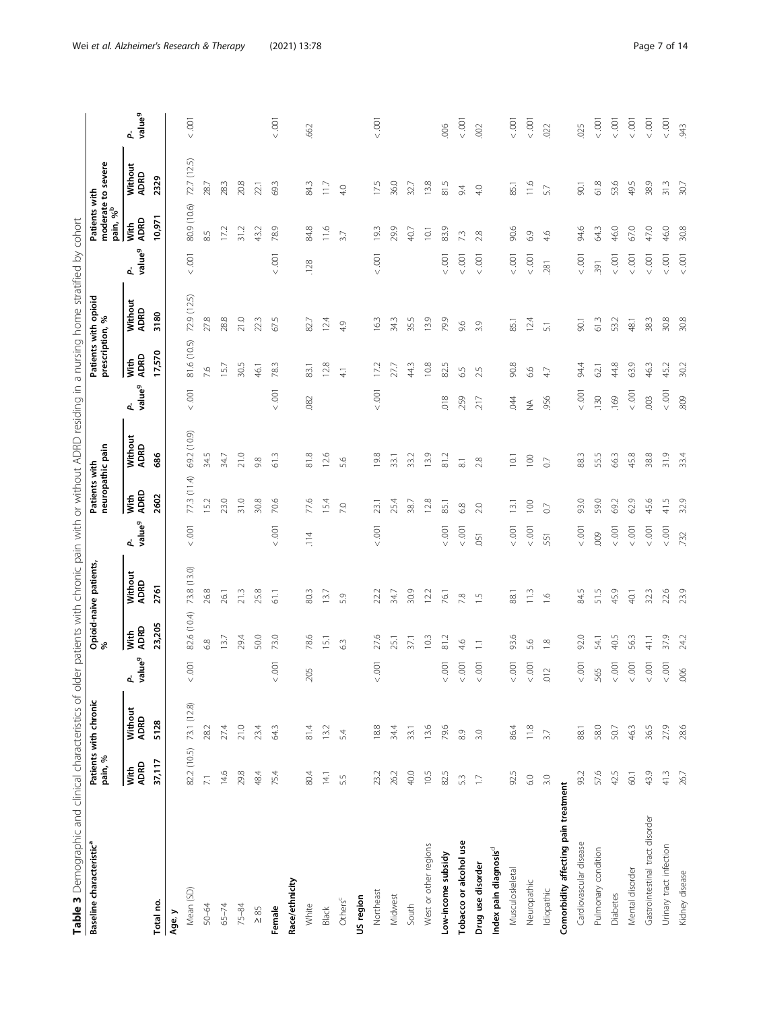| l<br>í<br>$\frac{1}{2}$       |
|-------------------------------|
|                               |
| l                             |
| Ì<br>١                        |
| I                             |
|                               |
| j<br>J                        |
|                               |
| ī<br>j<br>1<br>j              |
|                               |
|                               |
| j<br>3                        |
| i<br>ׇ֘֒                      |
| ١                             |
| l                             |
| Ş                             |
| I<br>į                        |
| I                             |
|                               |
| j<br>2                        |
| i                             |
| ׃                             |
| Ï                             |
|                               |
| $\mathfrak{c}$<br>1<br>O      |
|                               |
|                               |
| i<br>J                        |
| 5<br>ļ                        |
| ī<br>j                        |
|                               |
| $\bar{5}$<br>ţ                |
| ļ                             |
| I                             |
| j<br>j                        |
| J<br>I                        |
| 1                             |
|                               |
| ١                             |
| Ċ<br>l                        |
|                               |
|                               |
| 5                             |
|                               |
| $\overline{\phantom{a}}$<br>) |
|                               |
|                               |
|                               |
| $\frac{1}{2}$                 |
| ς                             |
|                               |
| Ā<br>j<br>ļ<br>j              |
|                               |
| I<br>j                        |
| ļ                             |
| Í                             |
|                               |
| $\overline{5}$<br>ś           |
| I                             |
| J                             |
|                               |
|                               |
| $M^+$<br>$\frac{1}{2}$        |
|                               |
| j                             |
| i<br>Ò<br>j<br>l              |
| ׇ֚֬֡                          |
| j                             |
| nati<br>ž                     |
|                               |
| ł<br>Ï                        |
| ī                             |
| ś<br>S<br>I                   |
|                               |
| Ì                             |
|                               |
| ĵ<br>ĭ                        |
|                               |
| j                             |
| isi<br>$\overline{1}$         |
| $\frac{1}{2}$                 |
| dU D                          |
|                               |
| ń<br>R<br>5<br>l              |
| J                             |
| Ĭ.                            |
|                               |
| $\frac{1}{6}$                 |
|                               |
| ï<br>Ï                        |
| ١<br>ï                        |
| İ                             |
| j<br>İ                        |
|                               |
| ł                             |
| I                             |
| I<br>i<br>֬֕֓                 |
|                               |
| ī<br>١<br>$\overline{)}$      |
| ł                             |
| S<br>j                        |
| ۱<br>Ï<br>Ì                   |
| I<br>١                        |
| Í<br>١                        |
|                               |
|                               |
|                               |
| Ï                             |

<span id="page-6-0"></span>

| Table 3 Demographic and clinical characteristics of older patients with chronic pain with or without ADRD residing in a nursing home stratified by cohort<br>Baseline characteristic <sup>a</sup> | pain, %           | Patients with chronic |                        |                | Opioid-naive patients,<br>% |                          | neuropathic pain<br>Patients with |                     |                         |               | Patients with opioid<br>prescription, % |                          | moderate to severe<br>pain, % <sup>b</sup><br>Patients with |                 |                         |
|---------------------------------------------------------------------------------------------------------------------------------------------------------------------------------------------------|-------------------|-----------------------|------------------------|----------------|-----------------------------|--------------------------|-----------------------------------|---------------------|-------------------------|---------------|-----------------------------------------|--------------------------|-------------------------------------------------------------|-----------------|-------------------------|
|                                                                                                                                                                                                   | With<br>ADRD      | Without<br>ADRD       | lue <sup>g</sup><br>ዺቜ | ADRD<br>With   | Without<br>ADRD             | P-<br>value <sup>g</sup> | ADRD<br>With                      | Without<br>ADRD     | value <sup>g</sup><br>ፈ | ADRD<br>With  | Without<br>ADRD                         | P-<br>value <sup>g</sup> | <b>ADRD</b><br>With                                         | Without<br>ADRD | value <sup>9</sup><br>ፈ |
| Total no.                                                                                                                                                                                         | 37,117            | 5128                  |                        | 23,205         | 2761                        |                          | 2602                              | 686                 |                         | 17,570        | 3180                                    |                          | 10,971                                                      | 2329            |                         |
| Age, y                                                                                                                                                                                            |                   |                       |                        |                |                             |                          |                                   |                     |                         |               |                                         |                          |                                                             |                 |                         |
| Mean (SD)                                                                                                                                                                                         | 82.2 (10.5)       | 73.1 (12.8)           | $< .001$               | 82.6 (10.4)    | 73.8 (13.0)                 | $<0.001$                 | 77.3 (11.4)                       | 69.2 (10.9)         | $<.001$                 | 81.6 (10.5)   | 72.9 (12.5)                             | $<.001$                  | 80.9 (10.6)                                                 | 72.7 (12.5)     | $<.001$                 |
| 50-64                                                                                                                                                                                             | $\overline{\sim}$ | 28.2                  |                        | 68             | 26.8                        |                          | 15.2                              | 34.5                |                         | 7.6           | 27.8                                    |                          | 8.5                                                         | 28.7            |                         |
| $65 - 74$                                                                                                                                                                                         | 14.6              | 27.4                  |                        | 13.7           | 26.1                        |                          | 23.0                              | 34.7                |                         | 15.7          | 28.8                                    |                          | 17.2                                                        | 28.3            |                         |
| $75 - 84$                                                                                                                                                                                         | 29.8              | 21.0                  |                        | 29.4           | 21.3                        |                          | 31.0                              | 21.0                |                         | 30.5          | 21.0                                    |                          | 31.2                                                        | 20.8            |                         |
| $\geq 85$                                                                                                                                                                                         | 48.4              | 23.4                  |                        | 50.0           | 25.8                        |                          | 30.8                              | 9.8                 |                         | 46.1          | 223                                     |                          | 43.2                                                        | 221             |                         |
| Female                                                                                                                                                                                            | 75.4              | 64.3                  | $<001$                 | 73.0           | 61.1                        | $<.001$                  | 70.6                              | 61.3                | $< .001$                | 783           | 67.5                                    | $< .001$                 | O)<br>78.                                                   | 69.3            | $<.001$                 |
| Race/ethnicity                                                                                                                                                                                    |                   |                       |                        |                |                             |                          |                                   |                     |                         |               |                                         |                          |                                                             |                 |                         |
| White                                                                                                                                                                                             | 80.4              | 81.4                  | 5<br>S.                | 78.6           | 80.3                        | 114                      | 77,6                              | 81.8                | 082                     | 83.1          | 82.7                                    | .128                     | 84.8                                                        | 84.3            | 662                     |
| Black                                                                                                                                                                                             | 14.1              | 13.2                  |                        | 15.1           | 13.7                        |                          | 15.4                              | 12.6                |                         | 12.8          | 124                                     |                          | $\frac{6}{116}$                                             | $\frac{1}{2}$   |                         |
| Others $c$                                                                                                                                                                                        | 55                | 54                    |                        | 63             | 5.9                         |                          | 7.0                               | 5.6                 |                         | $\frac{1}{4}$ | 4.9                                     |                          | 3.7                                                         | 4.0             |                         |
| US region                                                                                                                                                                                         |                   |                       |                        |                |                             |                          |                                   |                     |                         |               |                                         |                          |                                                             |                 |                         |
| Northeast                                                                                                                                                                                         | 23.2              | $18.8$                | $< .001$               | 27.6           | 22.2                        | $< .001$                 | 23.1                              | 19.8                | $< .001$                | 17.2          | 163                                     | $< .001$                 | 19.3                                                        | 17.5            | $<.001$                 |
| Midwest                                                                                                                                                                                           | 26.2              | 34.4                  |                        | 25.1           | 34.7                        |                          | 25.4                              | 33.1                |                         | 27,7          | 343                                     |                          | 29.9                                                        | 36.0            |                         |
| South                                                                                                                                                                                             | 40.0              | 33.1                  |                        | 37.1           | 30.9                        |                          | 38.7                              | 33.2                |                         | 443           | 355                                     |                          | 40.7                                                        | 32.7            |                         |
| West or other regions                                                                                                                                                                             | 10.5              | 13.6                  |                        | 10.3           | 12.2                        |                          | 12.8                              | 13.9                |                         | 10.8          | 13.9                                    |                          | 10.1                                                        | 13.8            |                         |
| Low-income subsidy                                                                                                                                                                                | 82.5              | 79.6                  | $<.001$                | $\frac{2}{8}$  | 76.1                        | $<0.001$                 | 85.1                              | 81.2                | 018                     | 82.5          | 79.9                                    | $< .001$                 | 83.9                                                        | $\frac{5}{81}$  | ,006                    |
| Tobacco or alcohol use                                                                                                                                                                            | 53                | $8.9$                 | $<.001$                | $\varphi$<br>4 | 7.8                         | $<.001$                  | $6.8$                             | $\overline{\infty}$ | .259                    | 6.5           | 9.6                                     | $< .001$                 | 7.3                                                         | 9.4             | $<.001$                 |
| Drug use disorder                                                                                                                                                                                 | $\Box$            | 3.0                   | $<.001$                | $\Xi$          | $\frac{1}{2}$               | 051                      | 2.0                               | 2.8                 | 217                     | LN.<br>$\sim$ | 3.9                                     | $< .001$                 | 2.8                                                         | 4.0             | .002                    |
| Index pain diagnosis <sup>d</sup>                                                                                                                                                                 |                   |                       |                        |                |                             |                          |                                   |                     |                         |               |                                         |                          |                                                             |                 |                         |
| Musculoskeletal                                                                                                                                                                                   | 92.5              | 86.4                  | $<.001$                | 93.6           | 88.1                        | $<.001$                  | 13.1                              | 10.1                | 94                      | 90.8          | 85.1                                    | $< .001$                 | 90.6                                                        | 85.1            | $<.001$                 |
| Neuropathic                                                                                                                                                                                       | $\rm ^{\rm C}$    | 11.8                  | $< .001$               | 5.6            | $\frac{13}{1}$              | $<.001$                  | 100                               | 100                 | ≨                       | 6.6           | 12.4                                    | $< .001$                 | 6.9                                                         | $\frac{6}{10}$  | $< .001$                |
| Idiopathic                                                                                                                                                                                        | 3.0               | 37                    | $\sim$<br>$\Xi$        | $\frac{8}{10}$ | $\tilde{\Xi}$               | 551                      | $\overline{0}$                    | $\circlearrowright$ | 956                     | 4.7           | 51                                      | .281                     | 4.6                                                         | 5.7             | .022                    |
| Comorbidity affecting pain treatment                                                                                                                                                              |                   |                       |                        |                |                             |                          |                                   |                     |                         |               |                                         |                          |                                                             |                 |                         |
| Cardiovascular disease                                                                                                                                                                            | 93.2              | 88.1                  | $<.001$                | 92.0           | 84.5                        | $<0.001$                 | 93.0                              | 88.3                | $< .001$                | 94.4          | <b>SO2</b>                              | $< .001$                 | 94.6                                                        | 50 <sub>1</sub> | 025                     |
| Pulmonary condition                                                                                                                                                                               | 57.6              | 58.0                  | rŪ<br>56               | 54.1           | 51.5                        | 009                      | 59.0                              | 55.5                | .130                    | 62.1          | 61.3                                    | 391                      | 64.3                                                        | 61.8            | < 001                   |
| <b>Diabetes</b>                                                                                                                                                                                   | 42.5              | 50.7                  | $< .001$               | 40.5           | 45.9                        | $<0.001$                 | 69.2                              | 66.3                | .169                    | 44.8          | 53.2                                    | $< .001$                 | 46.0                                                        | 53.6            | $< .001$                |
| Mental disorder                                                                                                                                                                                   | 60.1              | 46.3                  | $<.001$                | 563            | 40.1                        | $<.001$                  | 62.9                              | 45.8                | $< .001$                | 63.9          | 48.1                                    | $< .001$                 | 67.0                                                        | 49.5            | $<.001$                 |
| Gastrointestinal tract disorder                                                                                                                                                                   | 43.9              | 36.5                  | $< .001$               | 41.1           | 32.3                        | $<.001$                  | 45.6                              | 38.8                | .003                    | 46.3          | 38.3                                    | $< .001$                 | 47.0                                                        | 38.9            | $<.001$                 |
| Urinary tract infection                                                                                                                                                                           | 41.3              | 27.9                  | $<.001$                | 37.9           | 22.6                        | $<.001$                  | 41.5                              | 31.9                | $< .001$                | 45.2          | 30.8                                    | $<.001$                  | 46.0                                                        | 31.3            | $< .001$                |
| Kidney disease                                                                                                                                                                                    | 26.7              | 28.6                  | .006                   | 24.2           | 23.9                        | .732                     | 32.9                              | 33.4                | 809                     | 30.2          | 30.8                                    | $< .001$                 | 30.8                                                        | 30.7            | .943                    |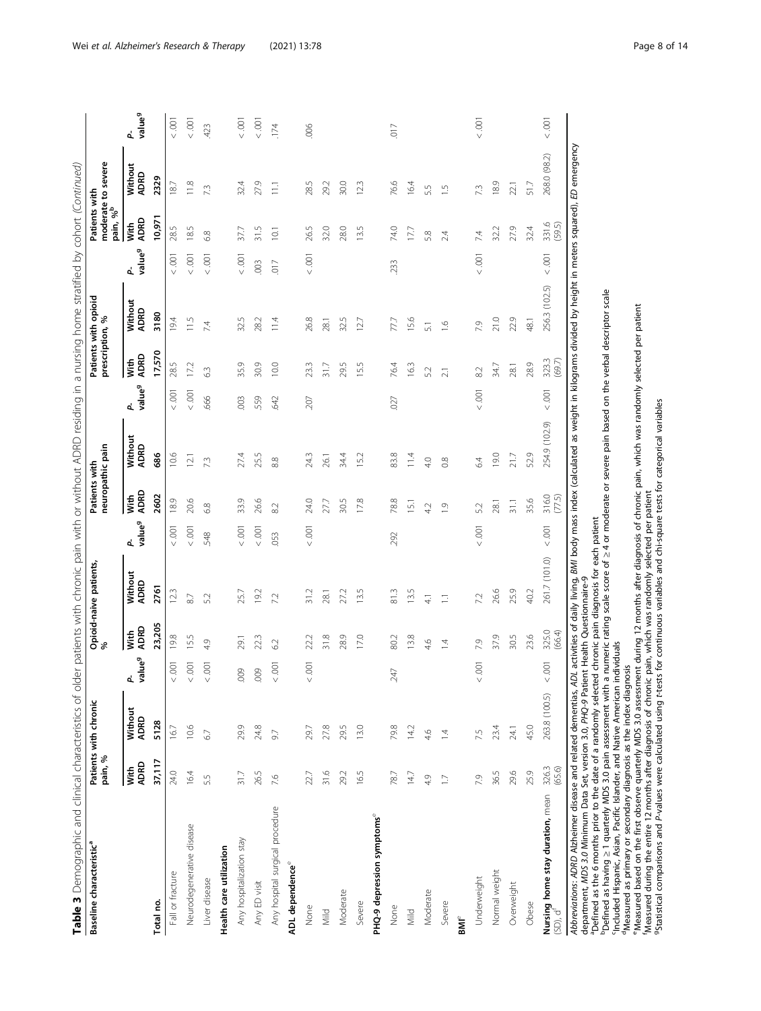|                                                                             | pain, %         | Patients with chronic       |                 | Opioid-naive patients,<br>% |                          | neuropathic pain<br>Patients with |                 |                         | prescription, %  | Patients with opioid |                          | Patients with<br>pain, % <sup>b</sup> | moderate to severe |                         |
|-----------------------------------------------------------------------------|-----------------|-----------------------------|-----------------|-----------------------------|--------------------------|-----------------------------------|-----------------|-------------------------|------------------|----------------------|--------------------------|---------------------------------------|--------------------|-------------------------|
| ADRD<br><b>Nith</b>                                                         | Without<br>ADRD | value <sup>9</sup><br>d     | ADRD<br>Nith    | Without<br>ADRD             | P-<br>value <sup>9</sup> | ADRD<br>Nith                      | Without<br>ADRD | value <sup>9</sup><br>ፈ | ADRD<br>With     | Without<br>ADRD      | value <sup>g</sup><br>ፈ  | ADRD<br>Vith                          | Without<br>ADRD    | value <sup>9</sup><br>ፈ |
| Total no.                                                                   | 5128<br>37,117  |                             | 23,205          | 2761                        |                          | 2602                              | 686             |                         | 17,570           | 3180                 |                          | 10,971                                | 2329               |                         |
| 24.0<br>Fall or fracture                                                    | 16.7            | $\overline{0}$<br>$\sqrt{}$ | 19.8            | 123                         | 001                      | 189                               | 10.6            | $< .001$                | 28.5             | 194                  | $\overline{0}$           | 28.5                                  | 18.7               | $< .001$                |
| 16.4<br>Neurodegenerative disease                                           | 10.6            | $<.001$                     | 15.5            | $87\,$                      | $<.001$                  | 20.6                              | 12.1            | $< .001$                | 17.2             | 11.5                 | $< .001$                 | 18.5                                  | 11.8               | $< .001$                |
| 55<br>Liver disease                                                         | 67              |                             | 4.9             | 5.2                         | 548                      | 6.8                               | 73              | 666                     | 63               | 74                   | $< .001$                 | 6.8                                   | 7.3                | 423                     |
| Health care utilization                                                     |                 |                             |                 |                             |                          |                                   |                 |                         |                  |                      |                          |                                       |                    |                         |
| 31.7<br>Any hospitalization stay                                            | 29.9            | 009                         | 29.1            | 25.7                        | 001                      | 33.9                              | 27.4            | $rac{3}{2}$             | 35.9             | 32.5                 | $< .001$                 | 37.7                                  | 32.4               | $\overline{0}$          |
| 26.5<br>Any ED visit                                                        | 24.8            | 009                         | 223             | 19.2                        | $< .001$                 | 26.6                              | 25.5            | 559                     | 30.9             | 28.2                 | 003                      | 31.5                                  | 27.9               | $\overline{5}$          |
| 7.6<br>Any hospital surgical procedure                                      | 97              | $<.001$                     | 6.2             | 72                          | 053                      | 8.2                               | 8.8             | 642                     | 10.0             | 114                  | $\overline{0}$           | 10.1                                  | $\Xi$              | 174                     |
| ADL dependence <sup>e</sup>                                                 |                 |                             |                 |                             |                          |                                   |                 |                         |                  |                      |                          |                                       |                    |                         |
| 22.7<br>None                                                                | 29.7            |                             | 22.2            | 31.2                        | $<0.001$                 | 24.0                              | 24.3            | 207                     | 23.3             | 26.8                 | $< .001$                 | 26.5                                  | 28.5               | .006                    |
| 31.6<br>Mild                                                                | 27.8            |                             | 31.8            | 28.1                        |                          | 27.7                              | 26.1            |                         | 317              | 28.1                 |                          | 32.0                                  | 29.2               |                         |
| 29.2<br>Moderate                                                            | 29.5            |                             | 28.9            | 27.2                        |                          | 30.5                              | 34.4            |                         | 29.5             | 32.5                 |                          | 28.0                                  | 30.0               |                         |
| 16.5<br>Severe                                                              | 13.0            |                             | 17.0            | 13.5                        |                          | 17.8                              | 15.2            |                         | 15.5             | 127                  |                          | 13.5                                  | 123                |                         |
| PHQ-9 depression symptoms <sup>e</sup>                                      |                 |                             |                 |                             |                          |                                   |                 |                         |                  |                      |                          |                                       |                    |                         |
| 78.7<br>None                                                                | 79.8            | 247                         | 80.2            | 81.3                        | 292                      | 78.8                              | 83.8            | 027                     | 76.4             | 77,7                 | 233                      | 74.0                                  | 76.6               | $\overline{0}$          |
| 14.7<br>Mild                                                                | 14.2            |                             | 13.8            | 13.5                        |                          | $\overline{51}$                   | 11.4            |                         | 163              | 15.6                 |                          | 17.7                                  | 16.4               |                         |
| 4.9<br>Moderate                                                             | 46              |                             | 46              | $\overline{41}$             |                          | 4.2                               | 40              |                         | 5.2              | $\overline{51}$      |                          | 5.8                                   | 5.5                |                         |
| $\Box$<br>Severe                                                            | $\overline{4}$  |                             | 14              | Ξ                           |                          | $\overline{0}$                    | $\approx$       |                         | $\overline{2.1}$ | $\frac{6}{1}$        |                          | 2.4                                   | $\frac{5}{1}$      |                         |
| $\mathsf{BM}^\mathsf{e}$                                                    |                 |                             |                 |                             |                          |                                   |                 |                         |                  |                      |                          |                                       |                    |                         |
| 7.9<br>Underweight                                                          | 7.5             | $<0.001$                    | 7.9             | 7.2                         | $<0.01$                  | 5.2                               | 64              | $< .001$                | 8.2              | 7.9                  | $< .001$                 | 7.4                                   | 7.3                | $< .001$                |
| 36.5<br>Normal weight                                                       | 23.4            |                             | 37.9            | 26.6                        |                          | 28.1                              | 19.0            |                         | 34.7             | 21.0                 |                          | 32.2                                  | 18.9               |                         |
| 29.6<br>Overweight                                                          | 24.1            |                             | 30.5            | 25.9                        |                          | 31.1                              | 21.7            |                         | 28.1             | 22.9                 |                          | 27.9                                  | 22.1               |                         |
| 25.9<br>Obese                                                               | 45.0            |                             | 23.6            | 40.2                        |                          | 35.6                              | 52.9            |                         | 28.9             | 48.1                 |                          | 32.4                                  | 51.7               |                         |
| 326.3<br>(65.6)<br>Nursing home stay duration, mean $(SD)$ , d <sup>f</sup> | 263.8 (100.5)   | $\overline{5}$<br>$\vee$    | 325.0<br>(66.4) | 261.7 (101.0)               | $<.001$                  | 316.0<br>(77.5)                   | 254.9 (102.9)   | $< .001$                | 323.3<br>(69.7)  | 256.3 (102.5)        | $\overline{0}$<br>$\vee$ | 331.6                                 | 268.0 (98.2)       | $< .001$                |

"Defined as the 6 months prior to the date of a randomly selected chronic pain diagnosis for each patient<br>"Defined as having ≥ 1 quarterly MDS 3.0 pain assessment with a numeric rating scale score of ≥4 or moderate or sev

cIncluded Hispanic, Asian, Pacific Islander, and Native American individuals

<sup>d</sup>Measured as primary or secondary diagnosis as the index diagnosis

"Measured based on the first observe quarterly MDS 3.0 assessment during 12 months after diagnosis of chronic pain, which was randomly selected per patient<br>"Measured during the entire 12 months after diagnosis of chronic p

gStatistical comparisons and P-values were calculated using t-tests for continuous variables and chi-square tests for categorical variables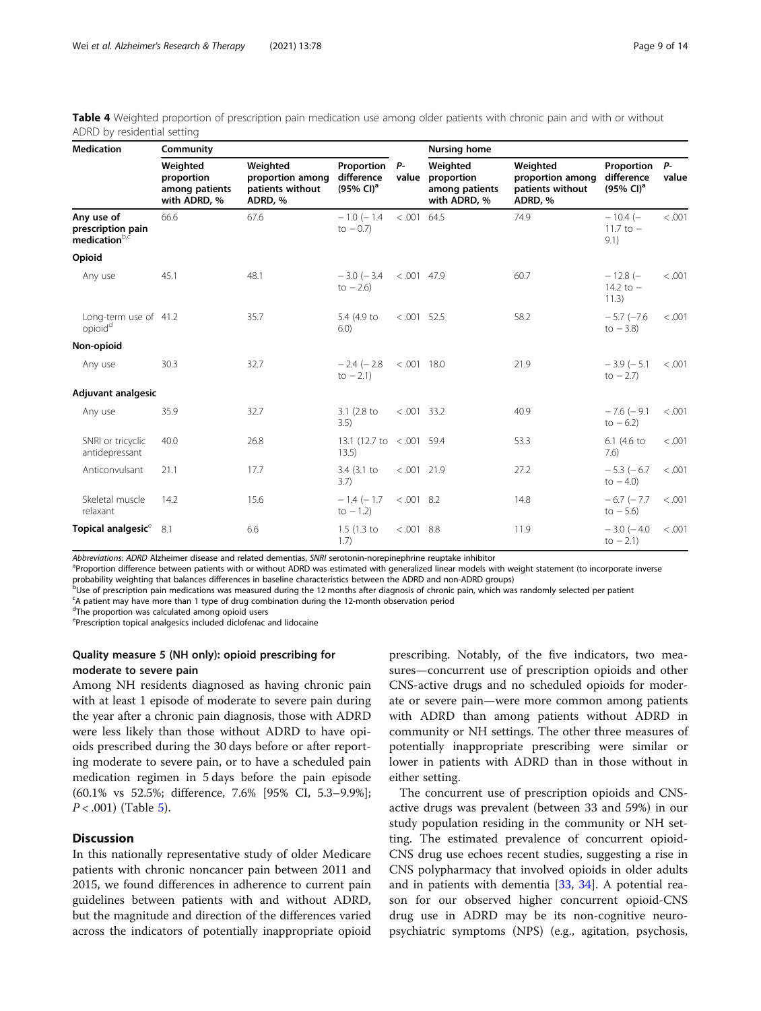<span id="page-8-0"></span>

| Table 4 Weighted proportion of prescription pain medication use among older patients with chronic pain and with or without |  |  |  |  |
|----------------------------------------------------------------------------------------------------------------------------|--|--|--|--|
| ADRD by residential setting                                                                                                |  |  |  |  |

| <b>Medication</b>                                            | Community                                                |                                                             |                                                   |               | <b>Nursing home</b>                                      |                                                             |                                                   |               |
|--------------------------------------------------------------|----------------------------------------------------------|-------------------------------------------------------------|---------------------------------------------------|---------------|----------------------------------------------------------|-------------------------------------------------------------|---------------------------------------------------|---------------|
|                                                              | Weighted<br>proportion<br>among patients<br>with ADRD, % | Weighted<br>proportion among<br>patients without<br>ADRD, % | Proportion<br>difference<br>$(95\% \text{ Cl})^a$ | $P-$<br>value | Weighted<br>proportion<br>among patients<br>with ADRD, % | Weighted<br>proportion among<br>patients without<br>ADRD, % | Proportion<br>difference<br>$(95\% \text{ Cl})^a$ | $P-$<br>value |
| Any use of<br>prescription pain<br>medication <sup>b,c</sup> | 66.6                                                     | 67.6                                                        | $-1.0$ ( $-1.4$ )<br>to $-0.7$ )                  | $< .001$ 64.5 |                                                          | 74.9                                                        | $-10.4(-$<br>11.7 to $-$<br>9.1)                  | < 0.001       |
| Opioid                                                       |                                                          |                                                             |                                                   |               |                                                          |                                                             |                                                   |               |
| Any use                                                      | 45.1                                                     | 48.1                                                        | $-3.0$ ( $-3.4$ )<br>to $-2.6$ )                  | $< .001$ 47.9 |                                                          | 60.7                                                        | $-12.8(-$<br>14.2 to $-$<br>11.3)                 | < .001        |
| Long-term use of 41.2<br>opioid <sup>d</sup>                 |                                                          | 35.7                                                        | 5.4 (4.9 to<br>6.0)                               | $< .001$ 52.5 |                                                          | 58.2                                                        | $-5.7$ ( $-7.6$ )<br>$to -3.8$                    | < .001        |
| Non-opioid                                                   |                                                          |                                                             |                                                   |               |                                                          |                                                             |                                                   |               |
| Any use                                                      | 30.3                                                     | 32.7                                                        | $-2.4$ ( $-2.8$ )<br>to $-2.1$ )                  | $< .001$ 18.0 |                                                          | 21.9                                                        | $-3.9(-5.1)$<br>to $-2.7$ )                       | < 0.001       |
| Adjuvant analgesic                                           |                                                          |                                                             |                                                   |               |                                                          |                                                             |                                                   |               |
| Any use                                                      | 35.9                                                     | 32.7                                                        | 3.1 (2.8 to<br>3.5)                               | $< .001$ 33.2 |                                                          | 40.9                                                        | $-7.6$ ( $-9.1$ )<br>to $-6.2$ )                  | < .001        |
| SNRI or tricyclic<br>antidepressant                          | 40.0                                                     | 26.8                                                        | 13.1 (12.7 to <.001 59.4)<br>13.5)                |               |                                                          | 53.3                                                        | 6.1 (4.6 to<br>7.6)                               | < .001        |
| Anticonvulsant                                               | 21.1                                                     | 17.7                                                        | $3.4$ (3.1 to<br>3.7)                             | $< .001$ 21.9 |                                                          | 27.2                                                        | $-5.3$ ( $-6.7$ )<br>$to -4.0$                    | < .001        |
| Skeletal muscle<br>relaxant                                  | 14.2                                                     | 15.6                                                        | $-1.4(-1.7$<br>to $-1.2$ )                        | $< .001$ 8.2  |                                                          | 14.8                                                        | $-6.7$ ( $-7.7$ )<br>$to -5.6$ )                  | < .001        |
| Topical analgesic <sup>e</sup>                               | 8.1                                                      | 6.6                                                         | $1.5(1.3)$ to<br>1.7)                             | $< .001$ 8.8  |                                                          | 11.9                                                        | $-3.0$ ( $-4.0$ )<br>$to -2.1)$                   | < .001        |

Abbreviations: ADRD Alzheimer disease and related dementias, SNRI serotonin-norepinephrine reuptake inhibitor

<sup>a</sup>Proportion difference between patients with or without ADRD was estimated with generalized linear models with weight statement (to incorporate inverse probability weighting that balances differences in baseline characteristics between the ADRD and non-ADRD groups)

<sub>.</sub><br><sup>b</sup>Use of prescription pain medications was measured during the 12 months after diagnosis of chronic pain, which was randomly selected per patient

<sup>c</sup>A patient may have more than 1 type of drug combination during the 12-month observation period

<sup>d</sup>The proportion was calculated among opioid users

e Prescription topical analgesics included diclofenac and lidocaine

# Quality measure 5 (NH only): opioid prescribing for moderate to severe pain

Among NH residents diagnosed as having chronic pain with at least 1 episode of moderate to severe pain during the year after a chronic pain diagnosis, those with ADRD were less likely than those without ADRD to have opioids prescribed during the 30 days before or after reporting moderate to severe pain, or to have a scheduled pain medication regimen in 5 days before the pain episode (60.1% vs 52.5%; difference, 7.6% [95% CI, 5.3–9.9%];  $P < .001$ ) (Table [5](#page-9-0)).

# **Discussion**

In this nationally representative study of older Medicare patients with chronic noncancer pain between 2011 and 2015, we found differences in adherence to current pain guidelines between patients with and without ADRD, but the magnitude and direction of the differences varied across the indicators of potentially inappropriate opioid prescribing. Notably, of the five indicators, two measures—concurrent use of prescription opioids and other CNS-active drugs and no scheduled opioids for moderate or severe pain—were more common among patients with ADRD than among patients without ADRD in community or NH settings. The other three measures of potentially inappropriate prescribing were similar or lower in patients with ADRD than in those without in either setting.

The concurrent use of prescription opioids and CNSactive drugs was prevalent (between 33 and 59%) in our study population residing in the community or NH setting. The estimated prevalence of concurrent opioid-CNS drug use echoes recent studies, suggesting a rise in CNS polypharmacy that involved opioids in older adults and in patients with dementia [\[33](#page-13-0), [34\]](#page-13-0). A potential reason for our observed higher concurrent opioid-CNS drug use in ADRD may be its non-cognitive neuropsychiatric symptoms (NPS) (e.g., agitation, psychosis,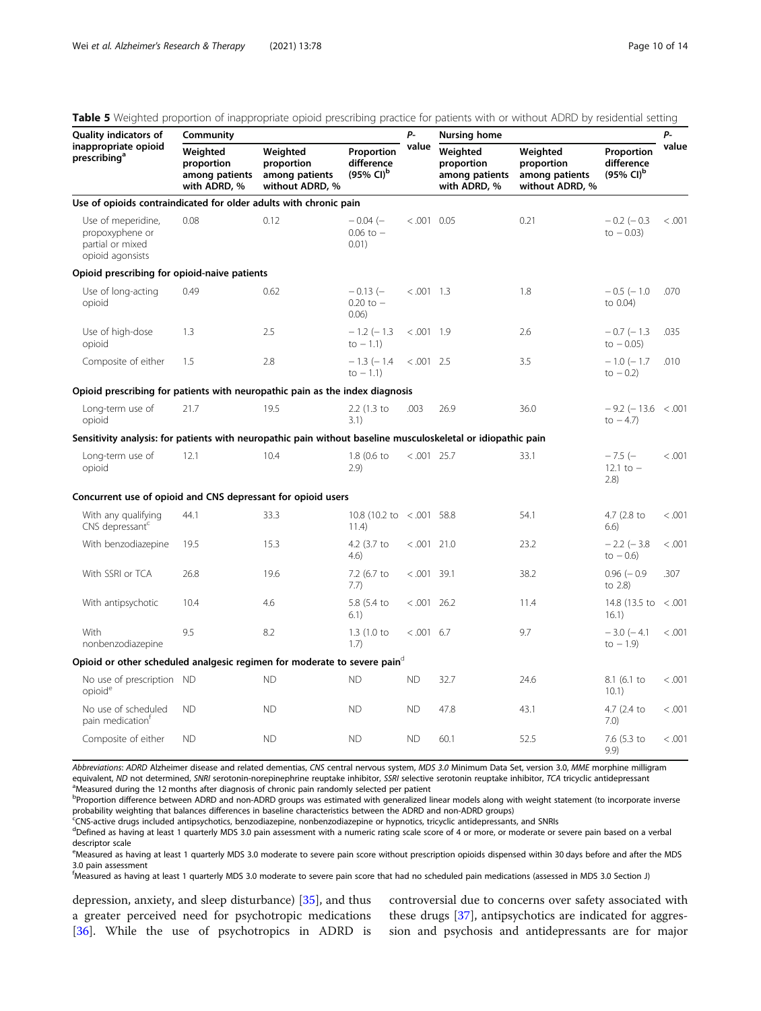| Page 10 of |  |  |
|------------|--|--|
|            |  |  |

| <b>Quality indicators of</b>                                                                                 | Community                                                |                                                             |                                                   | Р-            | Nursing home                                             |                                                             |                                                              | P-      |
|--------------------------------------------------------------------------------------------------------------|----------------------------------------------------------|-------------------------------------------------------------|---------------------------------------------------|---------------|----------------------------------------------------------|-------------------------------------------------------------|--------------------------------------------------------------|---------|
| inappropriate opioid<br>prescribing <sup>a</sup>                                                             | Weighted<br>proportion<br>among patients<br>with ADRD, % | Weighted<br>proportion<br>among patients<br>without ADRD, % | Proportion<br>difference<br>(95% CI) <sup>b</sup> | value         | Weighted<br>proportion<br>among patients<br>with ADRD, % | Weighted<br>proportion<br>among patients<br>without ADRD, % | Proportion<br>difference<br>$(95\% \, \text{Cl})^{\text{b}}$ | value   |
| Use of opioids contraindicated for older adults with chronic pain                                            |                                                          |                                                             |                                                   |               |                                                          |                                                             |                                                              |         |
| Use of meperidine,<br>propoxyphene or<br>partial or mixed<br>opioid agonsists                                | 0.08                                                     | 0.12                                                        | $-0.04$ $(-$<br>$0.06$ to $-$<br>0.01)            | $< .001$ 0.05 |                                                          | 0.21                                                        | $-0.2$ ( $-0.3$ )<br>$to -0.03)$                             | < 0.001 |
| Opioid prescribing for opioid-naive patients                                                                 |                                                          |                                                             |                                                   |               |                                                          |                                                             |                                                              |         |
| Use of long-acting<br>opioid                                                                                 | 0.49                                                     | 0.62                                                        | $-0.13$ (-<br>$0.20$ to $-$<br>0.06               | $< .001$ 1.3  |                                                          | 1.8                                                         | $-0.5$ ( $-1.0$ )<br>to 0.04)                                | .070    |
| Use of high-dose<br>opioid                                                                                   | 1.3                                                      | 2.5                                                         | $-1.2$ ( $-1.3$ )<br>$to -1.1)$                   | $< .001$ 1.9  |                                                          | 2.6                                                         | $-0.7$ ( $-1.3$ )<br>$to -0.05)$                             | .035    |
| Composite of either                                                                                          | 1.5                                                      | 2.8                                                         | $-1.3$ ( $-1.4$ )<br>$to -1.1$                    | $< .001$ 2.5  |                                                          | 3.5                                                         | $-1.0$ ( $-1.7$ )<br>to $-0.2$ )                             | .010    |
| Opioid prescribing for patients with neuropathic pain as the index diagnosis                                 |                                                          |                                                             |                                                   |               |                                                          |                                                             |                                                              |         |
| Long-term use of<br>opioid                                                                                   | 21.7                                                     | 19.5                                                        | 2.2 (1.3 to<br>3.1)                               | .003          | 26.9                                                     | 36.0                                                        | $-9.2$ ( $-13.6$ < .001<br>to $-4.7$ )                       |         |
| Sensitivity analysis: for patients with neuropathic pain without baseline musculoskeletal or idiopathic pain |                                                          |                                                             |                                                   |               |                                                          |                                                             |                                                              |         |
| Long-term use of<br>opioid                                                                                   | 12.1                                                     | 10.4                                                        | 1.8 (0.6 to<br>2.9)                               | $< .001$ 25.7 |                                                          | 33.1                                                        | $-7.5$ (-<br>12.1 to $-$<br>(2.8)                            | < .001  |
| Concurrent use of opioid and CNS depressant for opioid users                                                 |                                                          |                                                             |                                                   |               |                                                          |                                                             |                                                              |         |
| With any qualifying<br>CNS depressant <sup>c</sup>                                                           | 44.1                                                     | 33.3                                                        | 10.8 (10.2 to <.001 58.8<br>11.4)                 |               |                                                          | 54.1                                                        | 4.7 (2.8 to<br>6.6)                                          | < .001  |
| With benzodiazepine                                                                                          | 19.5                                                     | 15.3                                                        | 4.2 (3.7 to<br>4.6)                               | $< .001$ 21.0 |                                                          | 23.2                                                        | $-2.2$ ( $-3.8$ )<br>$to -0.6$ )                             | < .001  |
| With SSRI or TCA                                                                                             | 26.8                                                     | 19.6                                                        | 7.2 (6.7 to<br>7.7)                               | $< .001$ 39.1 |                                                          | 38.2                                                        | $0.96$ $(-0.9)$<br>to 2.8)                                   | .307    |
| With antipsychotic                                                                                           | 10.4                                                     | 4.6                                                         | 5.8 (5.4 to<br>6.1)                               | $< .001$ 26.2 |                                                          | 11.4                                                        | 14.8 (13.5 to <.001<br>16.1)                                 |         |
| With<br>nonbenzodiazepine                                                                                    | 9.5                                                      | 8.2                                                         | 1.3(1.0 to<br>1.7                                 | $< .001$ 6.7  |                                                          | 9.7                                                         | $-3.0$ ( $-4.1$ )<br>$to -1.9$                               | < 0.001 |
| Opioid or other scheduled analgesic regimen for moderate to severe pain $\sigma$                             |                                                          |                                                             |                                                   |               |                                                          |                                                             |                                                              |         |
| No use of prescription ND<br>opioid <sup>e</sup>                                                             |                                                          | <b>ND</b>                                                   | <b>ND</b>                                         | <b>ND</b>     | 32.7                                                     | 24.6                                                        | 8.1 (6.1 to<br>10.1)                                         | < .001  |
| No use of scheduled<br>pain medication <sup>T</sup>                                                          | <b>ND</b>                                                | <b>ND</b>                                                   | <b>ND</b>                                         | ND.           | 47.8                                                     | 43.1                                                        | 4.7 (2.4 to<br>7.0)                                          | < 0.001 |
| Composite of either                                                                                          | <b>ND</b>                                                | <b>ND</b>                                                   | <b>ND</b>                                         | <b>ND</b>     | 60.1                                                     | 52.5                                                        | 7.6 (5.3 to<br>9.9)                                          | < .001  |

<span id="page-9-0"></span>Table 5 Weighted proportion of inappropriate opioid prescribing practice for patients with or without ADRD by residential setting

Abbreviations: ADRD Alzheimer disease and related dementias, CNS central nervous system, MDS 3.0 Minimum Data Set, version 3.0, MME morphine milligram equivalent, ND not determined, SNRI serotonin-norepinephrine reuptake inhibitor, SSRI selective serotonin reuptake inhibitor, TCA tricyclic antidepressant <sup>a</sup>Measured during the 12 months after diagnosis of chronic pain randomly selected per patient

<sup>b</sup>Proportion difference between ADRD and non-ADRD groups was estimated with generalized linear models along with weight statement (to incorporate inverse probability weighting that balances differences in baseline characteristics between the ADRD and non-ADRD groups)

c CNS-active drugs included antipsychotics, benzodiazepine, nonbenzodiazepine or hypnotics, tricyclic antidepressants, and SNRIs

<sup>d</sup>Defined as having at least 1 quarterly MDS 3.0 pain assessment with a numeric rating scale score of 4 or more, or moderate or severe pain based on a verbal descriptor scale

e<br>Measured as having at least 1 quarterly MDS 3.0 moderate to severe pain score without prescription opioids dispensed within 30 days before and after the MDS 3.0 pain assessment

f Measured as having at least 1 quarterly MDS 3.0 moderate to severe pain score that had no scheduled pain medications (assessed in MDS 3.0 Section J)

depression, anxiety, and sleep disturbance) [\[35\]](#page-13-0), and thus a greater perceived need for psychotropic medications [[36\]](#page-13-0). While the use of psychotropics in ADRD is controversial due to concerns over safety associated with these drugs [\[37](#page-13-0)], antipsychotics are indicated for aggression and psychosis and antidepressants are for major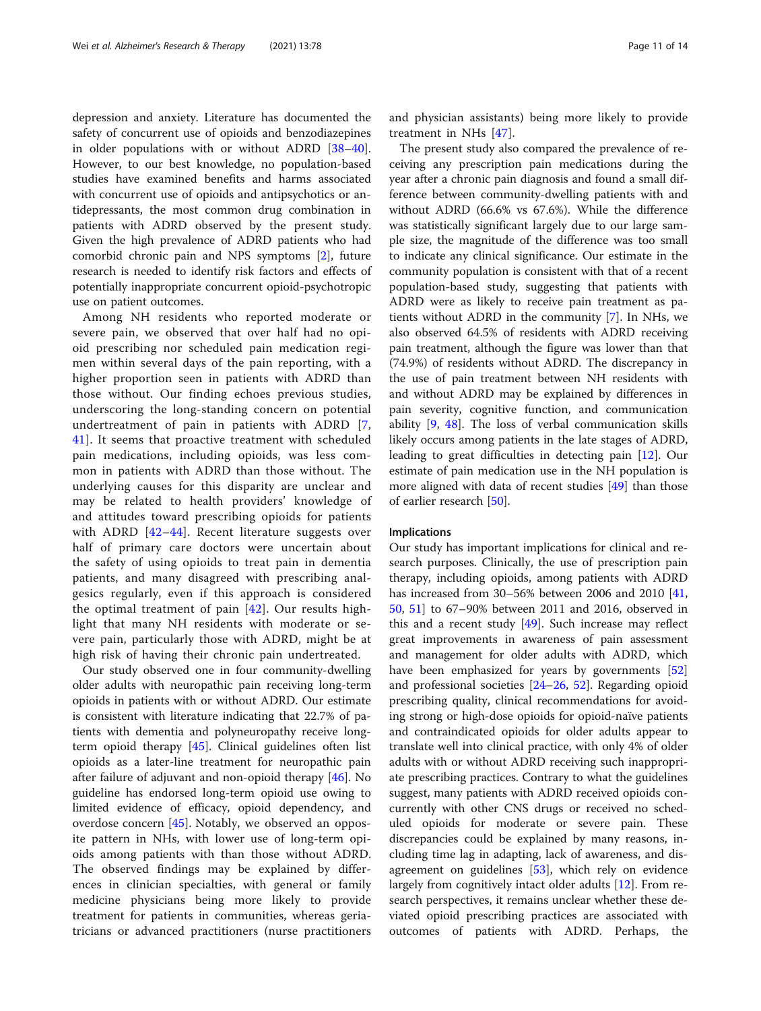depression and anxiety. Literature has documented the safety of concurrent use of opioids and benzodiazepines in older populations with or without ADRD [[38](#page-13-0)–[40](#page-13-0)]. However, to our best knowledge, no population-based studies have examined benefits and harms associated with concurrent use of opioids and antipsychotics or antidepressants, the most common drug combination in patients with ADRD observed by the present study. Given the high prevalence of ADRD patients who had comorbid chronic pain and NPS symptoms [[2\]](#page-12-0), future research is needed to identify risk factors and effects of potentially inappropriate concurrent opioid-psychotropic use on patient outcomes.

Among NH residents who reported moderate or severe pain, we observed that over half had no opioid prescribing nor scheduled pain medication regimen within several days of the pain reporting, with a higher proportion seen in patients with ADRD than those without. Our finding echoes previous studies, underscoring the long-standing concern on potential undertreatment of pain in patients with ADRD [\[7](#page-12-0), [41\]](#page-13-0). It seems that proactive treatment with scheduled pain medications, including opioids, was less common in patients with ADRD than those without. The underlying causes for this disparity are unclear and may be related to health providers' knowledge of and attitudes toward prescribing opioids for patients with ADRD [[42](#page-13-0)–[44](#page-13-0)]. Recent literature suggests over half of primary care doctors were uncertain about the safety of using opioids to treat pain in dementia patients, and many disagreed with prescribing analgesics regularly, even if this approach is considered the optimal treatment of pain  $[42]$  $[42]$  $[42]$ . Our results highlight that many NH residents with moderate or severe pain, particularly those with ADRD, might be at high risk of having their chronic pain undertreated.

Our study observed one in four community-dwelling older adults with neuropathic pain receiving long-term opioids in patients with or without ADRD. Our estimate is consistent with literature indicating that 22.7% of patients with dementia and polyneuropathy receive longterm opioid therapy [[45](#page-13-0)]. Clinical guidelines often list opioids as a later-line treatment for neuropathic pain after failure of adjuvant and non-opioid therapy [[46\]](#page-13-0). No guideline has endorsed long-term opioid use owing to limited evidence of efficacy, opioid dependency, and overdose concern [[45\]](#page-13-0). Notably, we observed an opposite pattern in NHs, with lower use of long-term opioids among patients with than those without ADRD. The observed findings may be explained by differences in clinician specialties, with general or family medicine physicians being more likely to provide treatment for patients in communities, whereas geriatricians or advanced practitioners (nurse practitioners and physician assistants) being more likely to provide treatment in NHs [[47\]](#page-13-0).

The present study also compared the prevalence of receiving any prescription pain medications during the year after a chronic pain diagnosis and found a small difference between community-dwelling patients with and without ADRD (66.6% vs 67.6%). While the difference was statistically significant largely due to our large sample size, the magnitude of the difference was too small to indicate any clinical significance. Our estimate in the community population is consistent with that of a recent population-based study, suggesting that patients with ADRD were as likely to receive pain treatment as patients without ADRD in the community [\[7](#page-12-0)]. In NHs, we also observed 64.5% of residents with ADRD receiving pain treatment, although the figure was lower than that (74.9%) of residents without ADRD. The discrepancy in the use of pain treatment between NH residents with and without ADRD may be explained by differences in pain severity, cognitive function, and communication ability [\[9,](#page-12-0) [48](#page-13-0)]. The loss of verbal communication skills likely occurs among patients in the late stages of ADRD, leading to great difficulties in detecting pain [\[12](#page-12-0)]. Our estimate of pain medication use in the NH population is more aligned with data of recent studies [[49\]](#page-13-0) than those of earlier research [\[50](#page-13-0)].

#### Implications

Our study has important implications for clinical and research purposes. Clinically, the use of prescription pain therapy, including opioids, among patients with ADRD has increased from 30–56% between 2006 and 2010 [[41](#page-13-0), [50,](#page-13-0) [51](#page-13-0)] to 67–90% between 2011 and 2016, observed in this and a recent study  $[49]$  $[49]$ . Such increase may reflect great improvements in awareness of pain assessment and management for older adults with ADRD, which have been emphasized for years by governments [[52](#page-13-0)] and professional societies [\[24](#page-12-0)–[26,](#page-12-0) [52\]](#page-13-0). Regarding opioid prescribing quality, clinical recommendations for avoiding strong or high-dose opioids for opioid-naïve patients and contraindicated opioids for older adults appear to translate well into clinical practice, with only 4% of older adults with or without ADRD receiving such inappropriate prescribing practices. Contrary to what the guidelines suggest, many patients with ADRD received opioids concurrently with other CNS drugs or received no scheduled opioids for moderate or severe pain. These discrepancies could be explained by many reasons, including time lag in adapting, lack of awareness, and disagreement on guidelines [[53](#page-13-0)], which rely on evidence largely from cognitively intact older adults [[12\]](#page-12-0). From research perspectives, it remains unclear whether these deviated opioid prescribing practices are associated with outcomes of patients with ADRD. Perhaps, the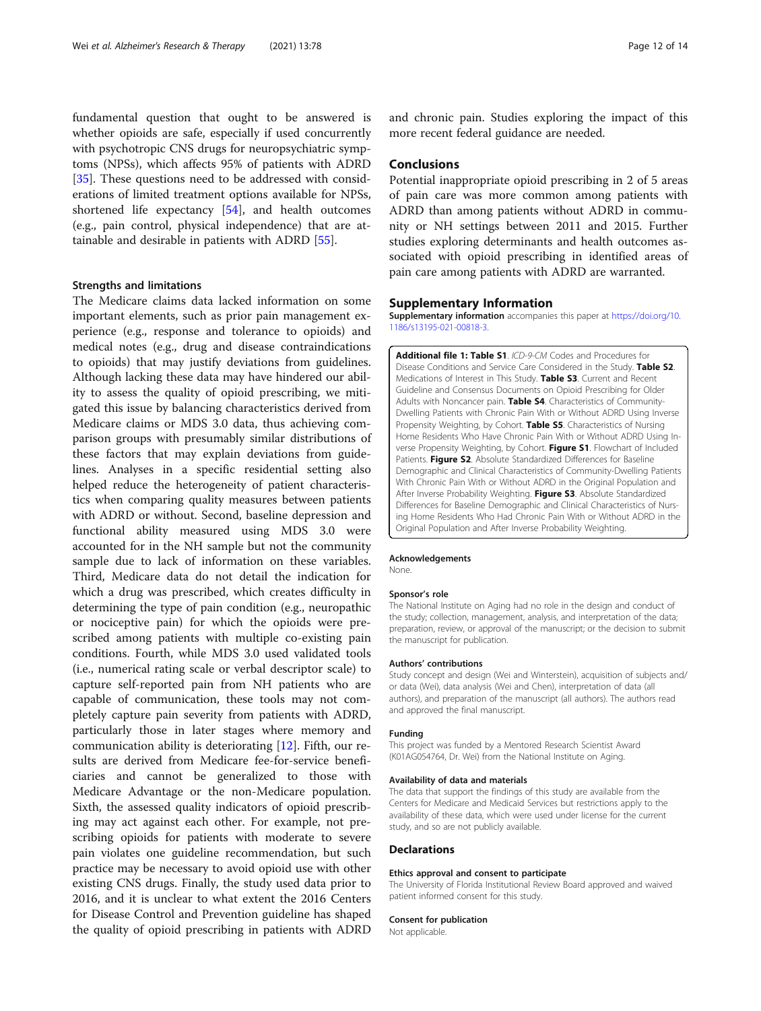<span id="page-11-0"></span>fundamental question that ought to be answered is whether opioids are safe, especially if used concurrently with psychotropic CNS drugs for neuropsychiatric symptoms (NPSs), which affects 95% of patients with ADRD [[35\]](#page-13-0). These questions need to be addressed with considerations of limited treatment options available for NPSs, shortened life expectancy [[54\]](#page-13-0), and health outcomes (e.g., pain control, physical independence) that are attainable and desirable in patients with ADRD [[55\]](#page-13-0).

#### Strengths and limitations

The Medicare claims data lacked information on some important elements, such as prior pain management experience (e.g., response and tolerance to opioids) and medical notes (e.g., drug and disease contraindications to opioids) that may justify deviations from guidelines. Although lacking these data may have hindered our ability to assess the quality of opioid prescribing, we mitigated this issue by balancing characteristics derived from Medicare claims or MDS 3.0 data, thus achieving comparison groups with presumably similar distributions of these factors that may explain deviations from guidelines. Analyses in a specific residential setting also helped reduce the heterogeneity of patient characteristics when comparing quality measures between patients with ADRD or without. Second, baseline depression and functional ability measured using MDS 3.0 were accounted for in the NH sample but not the community sample due to lack of information on these variables. Third, Medicare data do not detail the indication for which a drug was prescribed, which creates difficulty in determining the type of pain condition (e.g., neuropathic or nociceptive pain) for which the opioids were prescribed among patients with multiple co-existing pain conditions. Fourth, while MDS 3.0 used validated tools (i.e., numerical rating scale or verbal descriptor scale) to capture self-reported pain from NH patients who are capable of communication, these tools may not completely capture pain severity from patients with ADRD, particularly those in later stages where memory and communication ability is deteriorating [[12](#page-12-0)]. Fifth, our results are derived from Medicare fee-for-service beneficiaries and cannot be generalized to those with Medicare Advantage or the non-Medicare population. Sixth, the assessed quality indicators of opioid prescribing may act against each other. For example, not prescribing opioids for patients with moderate to severe pain violates one guideline recommendation, but such practice may be necessary to avoid opioid use with other existing CNS drugs. Finally, the study used data prior to 2016, and it is unclear to what extent the 2016 Centers for Disease Control and Prevention guideline has shaped the quality of opioid prescribing in patients with ADRD

and chronic pain. Studies exploring the impact of this more recent federal guidance are needed.

#### Conclusions

Potential inappropriate opioid prescribing in 2 of 5 areas of pain care was more common among patients with ADRD than among patients without ADRD in community or NH settings between 2011 and 2015. Further studies exploring determinants and health outcomes associated with opioid prescribing in identified areas of pain care among patients with ADRD are warranted.

#### Supplementary Information

Supplementary information accompanies this paper at [https://doi.org/10.](https://doi.org/10.1186/s13195-021-00818-3) [1186/s13195-021-00818-3](https://doi.org/10.1186/s13195-021-00818-3).

Additional file 1: Table S1. ICD-9-CM Codes and Procedures for Disease Conditions and Service Care Considered in the Study. Table S2. Medications of Interest in This Study. Table S3. Current and Recent Guideline and Consensus Documents on Opioid Prescribing for Older Adults with Noncancer pain. Table S4. Characteristics of Community-Dwelling Patients with Chronic Pain With or Without ADRD Using Inverse Propensity Weighting, by Cohort. Table S5. Characteristics of Nursing Home Residents Who Have Chronic Pain With or Without ADRD Using Inverse Propensity Weighting, by Cohort. Figure S1. Flowchart of Included Patients. Figure S2. Absolute Standardized Differences for Baseline Demographic and Clinical Characteristics of Community-Dwelling Patients With Chronic Pain With or Without ADRD in the Original Population and After Inverse Probability Weighting. Figure S3. Absolute Standardized Differences for Baseline Demographic and Clinical Characteristics of Nursing Home Residents Who Had Chronic Pain With or Without ADRD in the Original Population and After Inverse Probability Weighting.

#### Acknowledgements

None.

#### Sponsor's role

The National Institute on Aging had no role in the design and conduct of the study; collection, management, analysis, and interpretation of the data; preparation, review, or approval of the manuscript; or the decision to submit the manuscript for publication.

#### Authors' contributions

Study concept and design (Wei and Winterstein), acquisition of subjects and/ or data (Wei), data analysis (Wei and Chen), interpretation of data (all authors), and preparation of the manuscript (all authors). The authors read and approved the final manuscript.

#### Funding

This project was funded by a Mentored Research Scientist Award (K01AG054764, Dr. Wei) from the National Institute on Aging.

#### Availability of data and materials

The data that support the findings of this study are available from the Centers for Medicare and Medicaid Services but restrictions apply to the availability of these data, which were used under license for the current study, and so are not publicly available.

#### Declarations

#### Ethics approval and consent to participate

The University of Florida Institutional Review Board approved and waived patient informed consent for this study.

#### Consent for publication

Not applicable.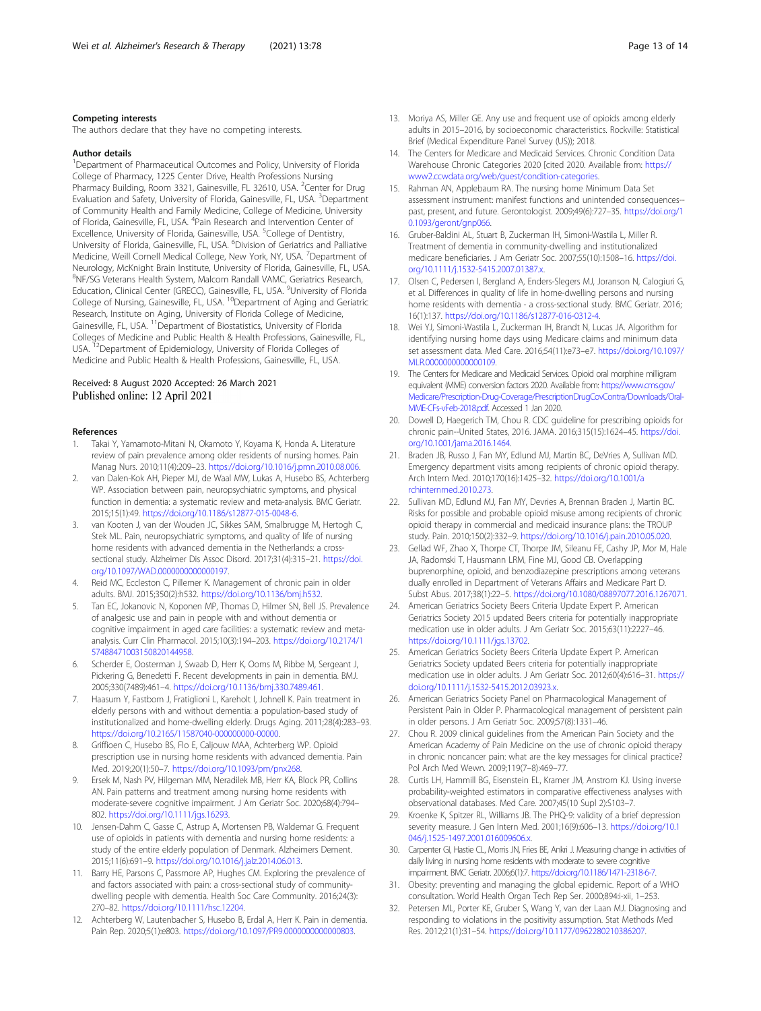#### <span id="page-12-0"></span>Competing interests

The authors declare that they have no competing interests.

#### Author details

<sup>1</sup>Department of Pharmaceutical Outcomes and Policy, University of Florida College of Pharmacy, 1225 Center Drive, Health Professions Nursing Pharmacy Building, Room 3321, Gainesville, FL 32610, USA. <sup>2</sup>Center for Drug Evaluation and Safety, University of Florida, Gainesville, FL, USA. <sup>3</sup>Department of Community Health and Family Medicine, College of Medicine, University of Florida, Gainesville, FL, USA. <sup>4</sup>Pain Research and Intervention Center of Excellence, University of Florida, Gainesville, USA. <sup>5</sup>College of Dentistry, University of Florida, Gainesville, FL, USA. <sup>6</sup>Division of Geriatrics and Palliative Medicine, Weill Cornell Medical College, New York, NY, USA. <sup>7</sup>Department of Neurology, McKnight Brain Institute, University of Florida, Gainesville, FL, USA. 8 NF/SG Veterans Health System, Malcom Randall VAMC, Geriatrics Research, Education, Clinical Center (GRECC), Gainesville, FL, USA. <sup>9</sup>University of Florida College of Nursing, Gainesville, FL, USA. 10Department of Aging and Geriatric Research, Institute on Aging, University of Florida College of Medicine, Gainesville, FL, USA. <sup>11</sup>Department of Biostatistics, University of Florida Colleges of Medicine and Public Health & Health Professions, Gainesville, FL, USA. <sup>12</sup>Department of Epidemiology, University of Florida Colleges of Medicine and Public Health & Health Professions, Gainesville, FL, USA.

# Received: 8 August 2020 Accepted: 26 March 2021<br>Published online: 12 April 2021

#### References

- Takai Y, Yamamoto-Mitani N, Okamoto Y, Koyama K, Honda A. Literature review of pain prevalence among older residents of nursing homes. Pain Manag Nurs. 2010;11(4):209–23. <https://doi.org/10.1016/j.pmn.2010.08.006>.
- 2. van Dalen-Kok AH, Pieper MJ, de Waal MW, Lukas A, Husebo BS, Achterberg WP. Association between pain, neuropsychiatric symptoms, and physical function in dementia: a systematic review and meta-analysis. BMC Geriatr. 2015;15(1):49. <https://doi.org/10.1186/s12877-015-0048-6>.
- van Kooten J, van der Wouden JC, Sikkes SAM, Smalbrugge M, Hertogh C, Stek ML. Pain, neuropsychiatric symptoms, and quality of life of nursing home residents with advanced dementia in the Netherlands: a crosssectional study. Alzheimer Dis Assoc Disord. 2017;31(4):315–21. [https://doi.](https://doi.org/10.1097/WAD.0000000000000197) [org/10.1097/WAD.0000000000000197](https://doi.org/10.1097/WAD.0000000000000197).
- 4. Reid MC, Eccleston C, Pillemer K. Management of chronic pain in older adults. BMJ. 2015;350(2):h532. <https://doi.org/10.1136/bmj.h532>.
- Tan EC, Jokanovic N, Koponen MP, Thomas D, Hilmer SN, Bell JS. Prevalence of analgesic use and pain in people with and without dementia or cognitive impairment in aged care facilities: a systematic review and metaanalysis. Curr Clin Pharmacol. 2015;10(3):194–203. [https://doi.org/10.2174/1](https://doi.org/10.2174/157488471003150820144958) [57488471003150820144958](https://doi.org/10.2174/157488471003150820144958).
- Scherder E, Oosterman J, Swaab D, Herr K, Ooms M, Ribbe M, Sergeant J, Pickering G, Benedetti F. Recent developments in pain in dementia. BMJ. 2005;330(7489):461–4. [https://doi.org/10.1136/bmj.330.7489.461.](https://doi.org/10.1136/bmj.330.7489.461)
- 7. Haasum Y, Fastbom J, Fratiglioni L, Kareholt I, Johnell K. Pain treatment in elderly persons with and without dementia: a population-based study of institutionalized and home-dwelling elderly. Drugs Aging. 2011;28(4):283–93. <https://doi.org/10.2165/11587040-000000000-00000>.
- 8. Griffioen C, Husebo BS, Flo E, Caljouw MAA, Achterberg WP. Opioid prescription use in nursing home residents with advanced dementia. Pain Med. 2019;20(1):50–7. <https://doi.org/10.1093/pm/pnx268>.
- 9. Ersek M, Nash PV, Hilgeman MM, Neradilek MB, Herr KA, Block PR, Collins AN. Pain patterns and treatment among nursing home residents with moderate-severe cognitive impairment. J Am Geriatr Soc. 2020;68(4):794– 802. [https://doi.org/10.1111/jgs.16293.](https://doi.org/10.1111/jgs.16293)
- 10. Jensen-Dahm C, Gasse C, Astrup A, Mortensen PB, Waldemar G. Frequent use of opioids in patients with dementia and nursing home residents: a study of the entire elderly population of Denmark. Alzheimers Dement. 2015;11(6):691–9. <https://doi.org/10.1016/j.jalz.2014.06.013>.
- 11. Barry HE, Parsons C, Passmore AP, Hughes CM. Exploring the prevalence of and factors associated with pain: a cross-sectional study of communitydwelling people with dementia. Health Soc Care Community. 2016;24(3): 270–82. [https://doi.org/10.1111/hsc.12204.](https://doi.org/10.1111/hsc.12204)
- 12. Achterberg W, Lautenbacher S, Husebo B, Erdal A, Herr K. Pain in dementia. Pain Rep. 2020;5(1):e803. <https://doi.org/10.1097/PR9.0000000000000803>.
- 13. Moriya AS, Miller GE. Any use and frequent use of opioids among elderly adults in 2015–2016, by socioeconomic characteristics. Rockville: Statistical
- Brief (Medical Expenditure Panel Survey (US)); 2018. 14. The Centers for Medicare and Medicaid Services. Chronic Condition Data Warehouse Chronic Categories 2020 [cited 2020. Available from: [https://](https://www2.ccwdata.org/web/guest/condition-categories) [www2.ccwdata.org/web/guest/condition-categories](https://www2.ccwdata.org/web/guest/condition-categories).
- 15. Rahman AN, Applebaum RA. The nursing home Minimum Data Set assessment instrument: manifest functions and unintended consequences- past, present, and future. Gerontologist. 2009;49(6):727–35. [https://doi.org/1](https://doi.org/10.1093/geront/gnp066) [0.1093/geront/gnp066.](https://doi.org/10.1093/geront/gnp066)
- 16. Gruber-Baldini AL, Stuart B, Zuckerman IH, Simoni-Wastila L, Miller R. Treatment of dementia in community-dwelling and institutionalized medicare beneficiaries. J Am Geriatr Soc. 2007;55(10):1508–16. [https://doi.](https://doi.org/10.1111/j.1532-5415.2007.01387.x) [org/10.1111/j.1532-5415.2007.01387.x](https://doi.org/10.1111/j.1532-5415.2007.01387.x).
- 17. Olsen C, Pedersen I, Bergland A, Enders-Slegers MJ, Joranson N, Calogiuri G, et al. Differences in quality of life in home-dwelling persons and nursing home residents with dementia - a cross-sectional study. BMC Geriatr. 2016; 16(1):137. [https://doi.org/10.1186/s12877-016-0312-4.](https://doi.org/10.1186/s12877-016-0312-4)
- 18. Wei YJ, Simoni-Wastila L, Zuckerman IH, Brandt N, Lucas JA. Algorithm for identifying nursing home days using Medicare claims and minimum data set assessment data. Med Care. 2016;54(11):e73–e7. [https://doi.org/10.1097/](https://doi.org/10.1097/MLR.0000000000000109) [MLR.0000000000000109.](https://doi.org/10.1097/MLR.0000000000000109)
- 19. The Centers for Medicare and Medicaid Services. Opioid oral morphine milligram equivalent (MME) conversion factors 2020. Available from: [https://www.cms.gov/](https://www.cms.gov/Medicare/Prescription-Drug-Coverage/PrescriptionDrugCovContra/Downloads/Oral-MME-CFs-vFeb-2018.pdf) [Medicare/Prescription-Drug-Coverage/PrescriptionDrugCovContra/Downloads/Oral-](https://www.cms.gov/Medicare/Prescription-Drug-Coverage/PrescriptionDrugCovContra/Downloads/Oral-MME-CFs-vFeb-2018.pdf)[MME-CFs-vFeb-2018.pdf](https://www.cms.gov/Medicare/Prescription-Drug-Coverage/PrescriptionDrugCovContra/Downloads/Oral-MME-CFs-vFeb-2018.pdf). Accessed 1 Jan 2020.
- 20. Dowell D, Haegerich TM, Chou R. CDC guideline for prescribing opioids for chronic pain--United States, 2016. JAMA. 2016;315(15):1624–45. [https://doi.](https://doi.org/10.1001/jama.2016.1464) [org/10.1001/jama.2016.1464](https://doi.org/10.1001/jama.2016.1464).
- 21. Braden JB, Russo J, Fan MY, Edlund MJ, Martin BC, DeVries A, Sullivan MD. Emergency department visits among recipients of chronic opioid therapy. Arch Intern Med. 2010;170(16):1425–32. [https://doi.org/10.1001/a](https://doi.org/10.1001/archinternmed.2010.273) [rchinternmed.2010.273.](https://doi.org/10.1001/archinternmed.2010.273)
- 22. Sullivan MD, Edlund MJ, Fan MY, Devries A, Brennan Braden J, Martin BC. Risks for possible and probable opioid misuse among recipients of chronic opioid therapy in commercial and medicaid insurance plans: the TROUP study. Pain. 2010;150(2):332–9. <https://doi.org/10.1016/j.pain.2010.05.020>.
- 23. Gellad WF, Zhao X, Thorpe CT, Thorpe JM, Sileanu FE, Cashy JP, Mor M, Hale JA, Radomski T, Hausmann LRM, Fine MJ, Good CB. Overlapping buprenorphine, opioid, and benzodiazepine prescriptions among veterans dually enrolled in Department of Veterans Affairs and Medicare Part D. Subst Abus. 2017;38(1):22–5. [https://doi.org/10.1080/08897077.2016.1267071.](https://doi.org/10.1080/08897077.2016.1267071)
- American Geriatrics Society Beers Criteria Update Expert P. American Geriatrics Society 2015 updated Beers criteria for potentially inappropriate medication use in older adults. J Am Geriatr Soc. 2015;63(11):2227–46. <https://doi.org/10.1111/jgs.13702>.
- 25. American Geriatrics Society Beers Criteria Update Expert P. American Geriatrics Society updated Beers criteria for potentially inappropriate medication use in older adults. J Am Geriatr Soc. 2012;60(4):616–31. [https://](https://doi.org/10.1111/j.1532-5415.2012.03923.x) [doi.org/10.1111/j.1532-5415.2012.03923.x.](https://doi.org/10.1111/j.1532-5415.2012.03923.x)
- 26. American Geriatrics Society Panel on Pharmacological Management of Persistent Pain in Older P. Pharmacological management of persistent pain in older persons. J Am Geriatr Soc. 2009;57(8):1331–46.
- 27. Chou R. 2009 clinical guidelines from the American Pain Society and the American Academy of Pain Medicine on the use of chronic opioid therapy in chronic noncancer pain: what are the key messages for clinical practice? Pol Arch Med Wewn. 2009;119(7–8):469–77.
- 28. Curtis LH, Hammill BG, Eisenstein EL, Kramer JM, Anstrom KJ. Using inverse probability-weighted estimators in comparative effectiveness analyses with observational databases. Med Care. 2007;45(10 Supl 2):S103–7.
- 29. Kroenke K, Spitzer RL, Williams JB. The PHQ-9: validity of a brief depression severity measure. J Gen Intern Med. 2001;16(9):606–13. [https://doi.org/10.1](https://doi.org/10.1046/j.1525-1497.2001.016009606.x) [046/j.1525-1497.2001.016009606.x](https://doi.org/10.1046/j.1525-1497.2001.016009606.x).
- 30. Carpenter GI, Hastie CL, Morris JN, Fries BE, Ankri J. Measuring change in activities of daily living in nursing home residents with moderate to severe cognitive impairment. BMC Geriatr. 2006;6(1):7. [https://doi.org/10.1186/1471-2318-6-7.](https://doi.org/10.1186/1471-2318-6-7)
- 31. Obesity: preventing and managing the global epidemic. Report of a WHO consultation. World Health Organ Tech Rep Ser. 2000;894:i-xii, 1–253.
- 32. Petersen ML, Porter KE, Gruber S, Wang Y, van der Laan MJ. Diagnosing and responding to violations in the positivity assumption. Stat Methods Med Res. 2012;21(1):31–54. [https://doi.org/10.1177/0962280210386207.](https://doi.org/10.1177/0962280210386207)